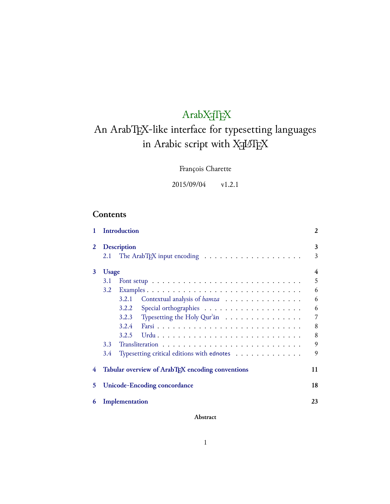# $ArabXfIEX$

# An ArabTEX-like interface for typesetting languages in Arabic script with  $\chi_{\rm {\overline{A}}}$

François Charette

2015/09/04 v1.2.1

# **Contents**

| 1 |               | Introduction                                                                           | 2      |
|---|---------------|----------------------------------------------------------------------------------------|--------|
| 2 | 2.1           | <b>Description</b><br>The ArabTEX input encoding $\dots \dots \dots \dots \dots \dots$ | 3<br>3 |
| 3 | <b>Usage</b>  |                                                                                        | 4      |
|   | 3.1           |                                                                                        | 5      |
|   | 3.2           |                                                                                        | 6      |
|   |               | Contextual analysis of hamza<br>3.2.1                                                  | 6      |
|   |               | 3.2.2                                                                                  | 6      |
|   |               | Typesetting the Holy Qur'an $\ldots \ldots \ldots \ldots \ldots$<br>3.2.3              | 7      |
|   |               | 3.2.4                                                                                  | 8      |
|   |               | 3.2.5                                                                                  | 8      |
|   | $3.3^{\circ}$ |                                                                                        | 9      |
|   | 3.4           | Typesetting critical editions with ednotes                                             | 9      |
| 4 |               | Tabular overview of ArabT <sub>F</sub> X encoding conventions                          | 11     |
| 5 |               | <b>Unicode-Encoding concordance</b>                                                    | 18     |
| 6 |               | Implementation                                                                         | 23     |

**Abstract**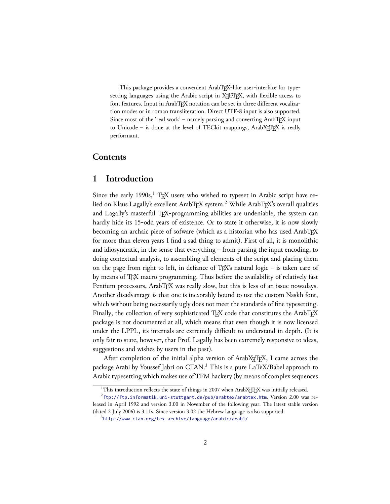This package provides a convenient ArabTEX-like user-interface for type $s$ etting languages using the Arabic script in X $\mathbb{H}$ ATEX, with flexible access to font features. Input in ArabTEX notation can be set in three different vocalization modes or in roman transliteration. Direct UTF-8 input is also supported. Since most of the 'real work' – namely parsing and converting ArabTEX input to Unicode – is done at the level of TECkit mappings, Arab $X \in \Gamma_X$  is really performant.

# **Contents**

# <span id="page-1-0"></span>**1 Introduction**

Since the early 1990s, $1$  T<sub>E</sub>X users who wished to typeset in Arabic script have relied on Klaus Lagally's excellent ArabTEX system.<sup>2</sup> While ArabTEX's overall qualities and Lagally's masterful T<sub>E</sub>X-programming abilities are undeniable, the system can hardly hide its 15-odd years of existence. Or to state it otherwise, it is now slowly becoming an archaic piece of sofware (which as a historian who has used ArabTEX for more than eleven years I find a sad thing to admit). First of all, it is monolithic and idiosyncratic, in the sense that everything  $-$  from parsing the input encoding, to doing contextual analysis, to assembling all elements of the script and placing them on the page from right to left, in defiance of  $T_{F}X$ 's natural logic – is taken care of by means of TEX macro programming. Thus before the availability of relatively fast Pentium processors, ArabTEX was really slow, but this is less of an issue nowadays. Another disadvantage is that one is inexorably bound to use the custom Naskh font, which without being necessarily ugly does not meet the standards of fine typesetting. Finally, the collection of very sophisticated TEX code that constitutes the ArabTEX package is not documented at all, which means that even though it is now licensed under the LPPL, its internals are extremely difficult to understand in depth. (It is only fair to state, however, that Prof. Lagally has been extremely responsive to ideas, suggestions and wishes by users in the past).

After completion of the initial alpha version of ArabXTEEX, I came across the package Arabi by Youssef Jabri on CTAN.<sup>3</sup> This is a pure LaTeX/Babel approach to Arabic typesetting which makes use of TFM hackery (by means of complex sequences

<sup>&</sup>lt;sup>1</sup>This introduction reflects the state of things in 2007 when ArabX $f$ IFX was initially released.

 $^{2}$ <ftp://ftp.informatik.uni-stuttgart.de/pub/arabtex/arabtex.htm>. Version 2.00 was released in April 1992 and version 3.00 in November of the following year. The latest stable version (dated 2 July 2006) is  $3.11s$ . Since version  $3.02$  the Hebrew language is also supported.

 $3$ <http://www.ctan.org/tex-archive/language/arabic/arabi/>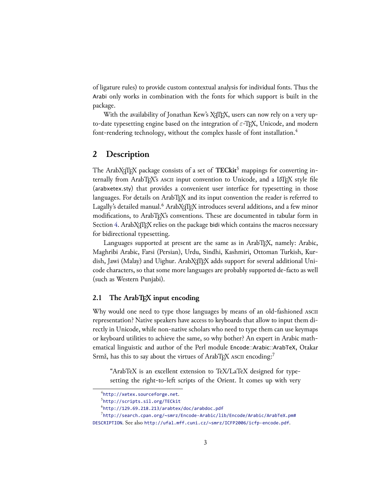of ligature rules) to provide custom contextual analysis for individual fonts. Thus the Arabi only works in combination with the fonts for which support is built in the package.

With the availability of Jonathan Kew's X<sub>I</sub>TEX, users can now rely on a very upto-date typesetting engine based on the integration of *ε*-TEX, Unicode, and modern font-rendering technology, without the complex hassle of font installation.<sup>4</sup>

# <span id="page-2-0"></span>**2 Description**

The ArabX<sub>T</sub>T<sub>E</sub>X package consists of a set of **TECkit**<sup>5</sup> mappings for converting internally from ArabTEX's ASCII input convention to Unicode, and a LATEX style file (arabxetex.sty) that provides a convenient user interface for typesetting in those languages. For details on ArabTEX and its input convention the reader is referred to Lagally's detailed manual.<sup>6</sup> ArabX<sub>T</sub>TEX introduces several additions, and a few minor modifications, to ArabTEX's conventions. These are documented in tabular form in Section [4.](#page-10-0) ArabX<sub>T</sub>TEX relies on the package bidi which contains the macros necessary for bidirectional typesetting.

Languages supported at present are the same as in ArabT<sub>EX</sub>, namely: Arabic, Maghribi Arabic, Farsi (Persian), Urdu, Sindhi, Kashmiri, Ottoman Turkish, Kurdish, Jawi (Malay) and Uighur. ArabX: TEX adds support for several additional Unicode characters, so that some more languages are probably supported de-facto as well (such as Western Punjabi).

### <span id="page-2-1"></span>**2.1 The ArabTEX input encoding**

Why would one need to type those languages by means of an old-fashioned ASCII representation? Native speakers have access to keyboards that allow to input them directly in Unicode, while non-native scholars who need to type them can use keymaps or keyboard utilities to achieve the same, so why bother? An expert in Arabic mathematical linguistic and author of the Perl module Encode::Arabic::ArabTeX, Otakar Srmž, has this to say about the virtues of ArabTEX ASCII encoding:<sup>7</sup>

"ArabTeX is an excellent extension to TeX/LaTeX designed for typesetting the right-to-left scripts of the Orient. It comes up with very

 $^4$ <http://xetex.sourceforge.net>.

<sup>5</sup> <http://scripts.sil.org/TECkit>

 $^6$ <http://129.69.218.213/arabtex/doc/arabdoc.pdf>

 $^{7}$ [http://search.cpan.org/~smrz/Encode-Arabic/lib/Encode/Arabic/ArabTeX.pm#](http://search.cpan.org/~smrz/Encode-Arabic/lib/Encode/Arabic/ArabTeX.pm#DESCRIPTION)

[DESCRIPTION](http://search.cpan.org/~smrz/Encode-Arabic/lib/Encode/Arabic/ArabTeX.pm#DESCRIPTION). See also <http://ufal.mff.cuni.cz/~smrz/ICFP2006/icfp-encode.pdf>.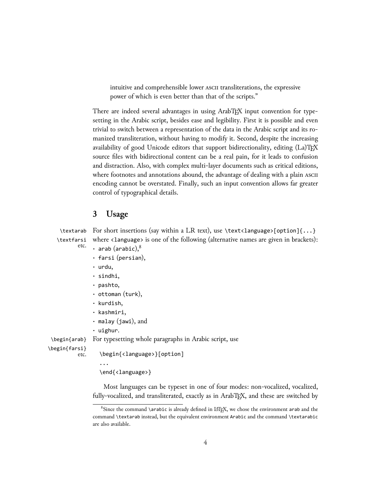intuitive and comprehensible lower *ASCII* transliterations, the expressive power of which is even better than that of the scripts."

There are indeed several advantages in using ArabTEX input convention for typesetting in the Arabic script, besides ease and legibility. First it is possible and even trivial to switch between a representation of the data in the Arabic script and its romanized transliteration, without having to modify it. Second, despite the increasing availability of good Unicode editors that support bidirectionality, editing  $(L_a)T\not\!\!F\not\!\!X$ source files with bidirectional content can be a real pain, for it leads to confusion and distraction. Also, with complex multi-layer documents such as critical editions, where footnotes and annotations abound, the advantage of dealing with a plain ASCII encoding cannot be overstated. Finally, such an input convention allows far greater control of typographical details.

# <span id="page-3-0"></span>**3 Usage**

\textarab For short insertions (say within a LR text), use \text<language>[option]{...} \textfarsi etc. where <language> is one of the following (alternative names are given in brackets):

- **·** arab (arabic),<sup>8</sup>
	- **·** farsi (persian),
	- **·** urdu,
	- **·** sindhi,
	- **·** pashto,
	- **·** ottoman (turk),
	- **·** kurdish,
	- **·** kashmiri,
	- **·** malay (jawi), and
	- **·** uighur.

...

\begin{arab} For typesetting whole paragraphs in Arabic script, use

\begin{farsi}

```
\begin{<language>}[option]
```

```
\end{<language>}
```
Most languages can be typeset in one of four modes: non-vocalized, vocalized, fully-vocalized, and transliterated, exactly as in ArabTEX, and these are switched by

 $8$ Since the command \arabic is already defined in LATEX, we chose the environment arab and the command \textarab instead, but the equivalent environment Arabic and the command \textarabic are also available.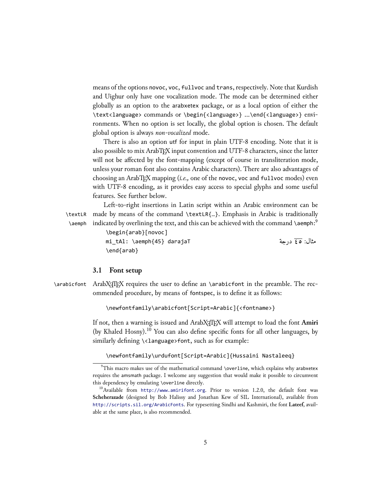means of the options novoc, voc, fullvoc and trans, respectively. Note that Kurdish and Uighur only have one vocalization mode. The mode can be determined either globally as an option to the arabxetex package, or as a local option of either the \text<language> commands or \begin{<language>} ...\end{<language>} environments. When no option is set locally, the global option is chosen. The default global option is always *non-vocalized* mode.

There is also an option utf for input in plain UTF-8 encoding. Note that it is also possible to mix ArabTEX input convention and UTF-8 characters, since the latter will not be affected by the font-mapping (except of course in transliteration mode, unless your roman font also contains Arabic characters). There are also advantages of choosing an ArabTEX mapping (*i.e.,* one of the novoc, voc and fullvoc modes) even with UTF-8 encoding, as it provides easy access to special glyphs and some useful features. See further below.

\aemph

Left-to-right insertions in Latin script within an Arabic environment can be \textLR made by means of the command \textLR{…}. Emphasis in Arabic is traditionally indicated by overlining the text, and this can be achieved with the command \aemph: $^9$ 

> \begin{arab}[novoc] mi\_tAl: \aemph{45} darajaT \end{arab}

مثال: ٤٥ درجة

#### <span id="page-4-0"></span>**3.1 Font setup**

 $\alpha$  \arabicfont ArabX $\frac{f}{K}$  requires the user to define an  $\alpha$  arabicfont in the preamble. The recommended procedure, by means of fontspec, is to define it as follows:

\newfontfamily\arabicfont[Script=Arabic]{<fontname>}

If not, then a warning is issued and ArabX<sub>T</sub>TEX will attempt to load the font Amiri (by Khaled Hosny).<sup>10</sup> You can also define specific fonts for all other languages, by similarly defining \<1anguage>font, such as for example:

#### \newfontfamily\urdufont[Script=Arabic]{Hussaini Nastaleeq}

 $9$ This macro makes use of the mathematical command \overline, which explains why arabxetex requires the amsmath package. I welcome any suggestion that would make it possible to circumvent this dependency by emulating \overline directly.

<sup>&</sup>lt;sup>10</sup>Available from <http://www.amirifont.org>. Prior to version 1.2.0, the default font was Scheherazade (designed by Bob Halissy and Jonathan Kew of SIL International), available from <http://scripts.sil.org/ArabicFonts>. For typesetting Sindhi and Kashmiri, the font **Lateef**, available at the same place, is also recommended.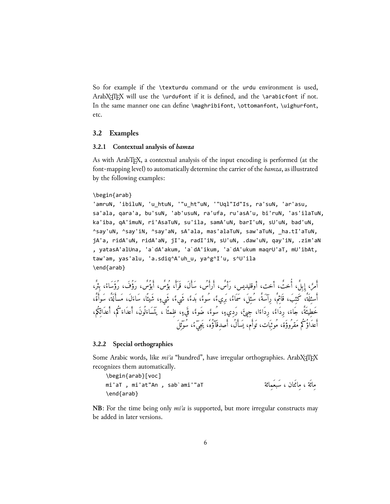So for example if the \texturdu command or the urdu environment is used, ArabX $T$ FEX will use the \urdufont if it is defined, and the \arabicfont if not. In the same manner one can define \maghribifont, \ottomanfont, \uighurfont, etc.

### <span id="page-5-0"></span>**3.2 Examples**

#### <span id="page-5-1"></span>**3.2.1 Contextual analysis of** *hamza*

As with ArabTEX, a contextual analysis of the input encoding is performed (at the font-mapping level) to automatically determine the carrier of the *hamza*, as illustrated by the following examples:

#### \begin{arab}

'amruN, 'ibiluN, 'u\_htuN, '"u\_ht"uN, '"Uql"Id"Is, ra'suN, 'ar'asu, sa'ala, qara'a, bu'suN, 'ab'usuN, ra'ufa, ru'asA'u, bi'ruN, 'as'ilaTuN, ka'iba, qA'imuN, ri'AsaTuN, su'ila, samA'uN, barI'uN, sU'uN, bad'uN, ^say'uN, ^say'iN, ^say'aN, sA'ala, mas'alaTuN, saw'aTuN, \_ha.tI'aTuN, jA'a, ridA'uN, ridA'aN, jI'a, radI'iN, sU'uN, .daw'uN, qay'iN, .zim'aN , yatasA'alUna, 'a`dA'akum, 'a`dA'ikum, 'a`dA'ukum maqrU'aT, mU'ibAt, taw'am, yas'alu, 'a.sdiq^A'uh\_u, ya^g^I'u, s^U'ila \end{arab}

أَمَّنُ إِبِلْ، أَخَتْ، أَخَتْ، أُوقليديس، رأس، أرأس، سأل، قرأ، بؤُس، أَبؤُسٍ، رؤف، رؤْساءُ، بِئْر،<br>بَرْضُ إِبْلُ أسئِلَةٌ، كَئِبَ، قَائِمٌ، رِآسَةٌ، سُئِلَ، سَمَاءٌ، بَرِيءٌ، سُوءٌ، بَدءٌ، شَيءٌ، شَيءٌ، شَيئًا، سَاءَلَ، مَسألَةٌ، سَوأةٌ، خَطِيئَةً، جَاءَ، رِدَاءًا، رِجِيئَ، رَدِيءٍ، سُوءً، ضُوءً، قَيءٍ، ظِمئًا ، يَتَسَاءَلُونَ، أعدَاءَكُم، أعدَائِكُم،<br>خَطِيئَةً اعداؤ كم مقروؤة، مُوئِبات، توام، يسأل، اصدِقاؤه، يَجِيءُ، سوئِل

#### <span id="page-5-2"></span>**3.2.2 Special orthographies**

Some Arabic words, like *mi'a* "hundred", have irregular orthographies. ArabX<sub>IIE</sub>X recognizes them automatically.

```
\begin{arab}[voc]
mi'aT , mi'at"An , sab`ami'"aT
\end{arab}
                                                          مِائَة ، مِائَتان ، سَبعَمائة
```
**NB**: For the time being only *miʾa* is supported, but more irregular constructs may be added in later versions.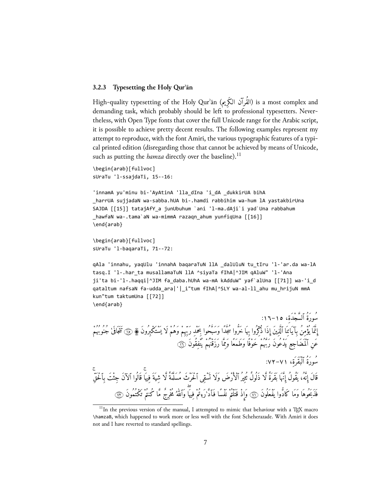#### <span id="page-6-0"></span>**3.2.3 Typesetting the Holy Qurʾān**

High-quality typesetting of the Holy Qur'ān (القُرآنُ الكَرْيمَ) is a most complex and demanding task, which probably should be left to professional typesetters. Nevertheless, with Open Type fonts that cover the full Unicode range for the Arabic script, it is possible to achieve pretty decent results. The following examples represent my attempt to reproduce, with the font Amiri, the various typographic features of a typical printed edition (disregarding those that cannot be achieved by means of Unicode, such as putting the *hamza* directly over the baseline).<sup>11</sup>

```
\begin{arab}[fullvoc]
sUraTu 'l-ssajdaTi, 15--16:
```

```
'innamA yu'minu bi-'AyAtinA 'lla_dIna 'i_dA _dukkirUA bihA
_harrUA sujjadaN wa-sabba.hUA bi-.hamdi rabbihim wa-hum lA yastakbirUna
SAJDA [[15]] tatajAfY_a junUbuhum `ani 'l-ma.dAji`i yad`Una rabbahum
_hawfaN wa-.tama`aN wa-mimmA razaqn_ahum yunfiqUna [[16]]
\end{arab}
```

```
\begin{arab}[fullvoc]
sUraTu 'l-baqaraTi, 71--72:
```
qAla 'innahu, yaqUlu 'innahA baqaraTuN llA \_dalUluN tu\_tIru 'l-'ar.da wa-lA tasq.I 'l-.har\_ta musallamaTuN llA ^siyaTa fIhA|^JIM qAluW" 'l-'Ana ji'ta bi-'l-.haqqi|^JIM fa\_daba.hUhA wa-mA kAdduW" yaf`alUna [[71]] wa-'i\_d qataltum nafsaN fa-udda\_ara|'|\_i"tum fIhA|^SLY wa-al-ll\_ahu mu\_hrijuN mmA kun"tum taktumUna [[72]] \end{arab}

```
ر بِرُورِةَ أَلسّجْدَة، ١٥–١٦-:
إِنّما يؤمِن بِآيَاتِنَا الّذِينَ إِذَا ذَكِرُوا بِها خُرُوا سِجْدًا وسُبْحُوا بِحَمْدِ رَبِّهِمْ وَهُمْ لَا يَسْتَكْبِرُونَ ۞ نَتِيَافَى لَا جَنُوبُهُمْ
                                                              عَنِ ٱلْمَضَاجِعِ يَدْعُونَ رَبُّهُمْ خَوْفًا وَطَمَعًا وَمِمَّا رَزَقْنُهُمْ يَنْفِقُونَ ۞
                                                                                                                              سُورَةُ ٱلْبَقَرَةِ، ٧١–٧٢:
ِ قَالَ إِنَّهُ، يَقُولُ إِنَّهَا بَقَرَةٌ لَّا ذَلُولٌ نُثِيرُ ٱلْأَرْضَ وَلَا تَسْقِى ٱلْحَرْثَ مُسَلَّمَةٌ لَّا شِيَةَ فِيهَا قَالُوا ٱلآنَ جِئْتَ بِٱلْحَقَّ<br>قَالَ إِنَّهُ، يَقُولُ إِنَّهَا بَقَرَةٌ لَّا ذَلُولٌ نُثِير
                فَذَبَحُوهَا وَمَا كَادّوا يَفْعَلُونَ ۞ وَإِذْ قَتَلْتُمْ نَفْسًا فَٱدّْرَءٖتُمْ فِيهَا وَٱللهُ مُخْرِجٌ مّا كَنتُمْ تَكْتَمُونَ ۞
```
 $11$ In the previous version of the manual, I attempted to mimic that behaviour with a TEX macro \hamzaB, which happened to work more or less well with the font Scheherazade. With Amiri it does not and I have reverted to standard spellings.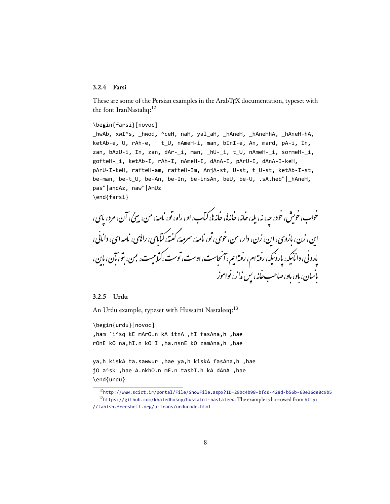### <span id="page-7-0"></span>**3.2.4 Farsi**

These are some of the Persian examples in the ArabTEX documentation, typeset with the font IranNastaliq:<sup>12</sup>

#### \begin{farsi}[novoc]

\_hwAb, xwI^s, \_hwod, ^ceH, naH, yal\_aH, \_hAneH, \_hAneHhA, \_hAneH-hA, ketAb-e, U, rAh-e, t\_U, nAmeH-i, man, bInI-e, An, mard, pA-i, In, zan, bAzU-i, In, zan, dAr-\_i, man, \_hU-\_i, t\_U, nAmeH-\_i, sormeH-\_i, gofteH-\_i, ketAb-I, rAh-I, nAmeH-I, dAnA-I, pArU-I, dAnA-I-keH, pArU-I-keH, rafteH-am, rafteH-Im, AnjA-st, U-st, t\_U-st, ketAb-I-st, be-man, be-t U, be-An, be-In, be-insAn, beU, be-U, .sA.heb"| hAneH, pas"|andAz, naw"|AmUz \end{farsi}

خواب، خویش، خود، چه، نه، پله، خانه، خانه؛، خانه ا، کتاب، او، راه، تو، نامهٔ، من، مینیْ، آن، مرد، پای، این، زن، بازوی، این، زن، دار، من، خوی، تو، نامهٔ، سرمهٔ، کفتهٔ،کتابای، رایای، نامه ای، دانایی، یاروئی، دانائیکه، پاروئیکه، رفتهام، رفتهایم، آنجاست، اوست، توست،کتابیست، بمن، بتو، بآن، باین، ĭ بانسان، باو، باو، صاحب خانه، پس نداز، نواموز

#### <span id="page-7-1"></span>**3.2.5 Urdu**

An Urdu example, typeset with Hussaini Nastaleeq:<sup>13</sup>

\begin{urdu}[novoc] ,ham `i^sq kE mArO.n kA itnA ,hI fasAna,h ,hae rOnE kO na,hI.n kO'I ,ha.nsnE kO zamAna,h ,hae

ya,h kiskA ta.sawwur ,hae ya,h kiskA fasAna,h ,hae jO a^sk ,hae A.nkhO.n mE.n tasbI.h kA dAnA ,hae \end{urdu}

<sup>12</sup><http://www.scict.ir/portal/File/ShowFile.aspx?ID=29bc4b98-bfd0-428d-b56b-63e36de8c9b5>  $13$ <https://github.com/khaledhosny/hussaini-nastaleeq>. The example is borrowed from [http:](http://tabish.freeshell.org/u-trans/urducode.html) [//tabish.freeshell.org/u-trans/urducode.html](http://tabish.freeshell.org/u-trans/urducode.html)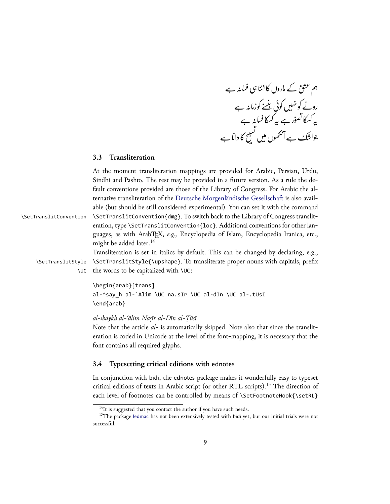áζ ȥہ<sup>ή</sup> ɺ¤ب ή ƄßȤ ¤ ζ ή Ɇ ί äا ¤Ƙروں¤ǸáƧق<sup>ΰ</sup> ʆŪÔ ζȟ áζ ȥہ<sup>ή</sup> ơáή×زǸ¤ب əʎ ή Ɍ ȓζ à θ ó×ơÖبΏβ ή ñ ×ơáή روô áζ ȥہ<sup>ή</sup> ɺ¤ب ή Ƅ ¤˼ʁƜ βہ رȥ áζب ّ ص× ί è¤˼ʁƜ βہ ب áζ ȥ ¤ ή âدا ¤Ƙ ± β Ɋ α ɚ ɻ ί ç ÖبȎوںΟ β ̦ ή ûآáζ ȥÑϹ <sup>ΰ</sup> Ėا ×αĈ

# <span id="page-8-0"></span>**3.3 Transliteration**

|                        | At the moment transliteration mappings are provided for Arabic, Persian, Urdu,        |
|------------------------|---------------------------------------------------------------------------------------|
|                        | Sindhi and Pashto. The rest may be provided in a future version. As a rule the de-    |
|                        | fault conventions provided are those of the Library of Congress. For Arabic the al-   |
|                        | ternative transliteration of the Deutsche Morgenländische Gesellschaft is also avail- |
|                        | able (but should be still considered experimental). You can set it with the command   |
| \SetTranslitConvention | \SetTranslitConvention{dmg}. To switch back to the Library of Congress translit-      |
|                        | eration, type \SetTranslitConvention{loc}. Additional conventions for other lan-      |
|                        | guages, as with ArabTFX, e.g., Encyclopedia of Islam, Encyclopedia Iranica, etc.,     |
|                        | might be added later. <sup>14</sup>                                                   |
|                        | Transliteration is set in italics by default. This can be changed by declaring, e.g., |
| \SetTranslitStyle      | \SetTranslitStyle{\upshape}. To transliterate proper nouns with capitals, prefix      |
|                        | \UC the words to be capitalized with \UC:                                             |
|                        | \begin{arab}[trans]                                                                   |
|                        | al-^say_h al-`Alim \UC na.sIr \UC al-dIn \UC al-.tUsI                                 |

*al-shaykh al-ʿālim Naṣīr al-Dīn al-Ṭūsī*

\end{arab}

Note that the article *al-* is automatically skipped. Note also that since the transliteration is coded in Unicode at the level of the font-mapping, it is necessary that the font contains all required glyphs.

# <span id="page-8-1"></span>**3.4 Typesetting critical editions with** ednotes

In conjunction with bidi, the ednotes package makes it wonderfully easy to typeset critical editions of texts in Arabic script (or other RTL scripts).<sup>15</sup> The direction of each level of footnotes can be controlled by means of \SetFootnoteHook{\setRL}

 $14$ It is suggested that you contact the author if you have such needs.

<sup>&</sup>lt;sup>15</sup>The package [ledmac](http://tug.ctan.org/tex-archive/macros/latex/contrib/ledmac/ledmac.pdf) has not been extensively tested with bidi yet, but our initial trials were not successful.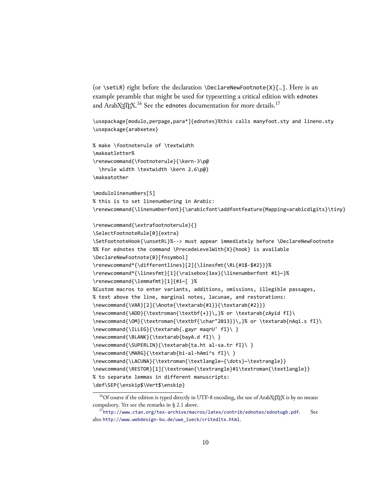(or \setLR) right before the declaration \DeclareNewFootnote{X}[…]. Here is an example preamble that might be used for typesetting a critical edition with ednotes and ArabX<sub>T</sub>T<sub>E</sub>X.<sup>16</sup> See the ednotes documentation for more details.<sup>17</sup>

```
\usepackage[modulo,perpage,para*]{ednotes}%this calls manyfoot.sty and lineno.sty
\usepackage{arabxetex}
```

```
% make \footnoterule of \textwidth
\makeatletter%
\renewcommand{\footnoterule}{\kern-3\p@
  \hrule width \textwidth \kern 2.6\p@}
\makeatother
```
\modulolinenumbers[5] % this is to set linenumbering in Arabic: \renewcommand{\linenumberfont}{\arabicfont\addfontfeature{Mapping=arabicdigits}\tiny}

```
\renewcommand{\extrafootnoterule}{}
```

```
\SelectFootnoteRule[0]{extra}
```

```
\SetFootnoteHook{\unsetRL}%--> must appear immediately before \DeclareNewFootnote
%% For ednotes the command \PrecedeLevelWith{X}{hook} is available
\DeclareNewFootnote{B}[fnsymbol]
\renewcommand*{\differentlines}[2]{\linesfmt{\RL{#1$-$#2}}}%
\renewcommand*{\linesfmt}[1]{\raisebox{1ex}{\linenumberfont #1}~}%
\renewcommand{\lemmafmt}[1]{#1~[ }%
%Custom macros to enter variants, additions, omissions, illegible passages,
% text above the line, marginal notes, lacunae, and restorations:
\newcommand{\VAR}[2]{\Anote{\textarab{#1}}{\textarab{#2}}}
\newcommand{\ADD}{\textroman{\textbf{+}}\,}% or \textarab{zAyid fI}\
\newcommand{\OM}{\textroman{\textbf{\char"2013}}\,}% or \textarab{nAqi.s fI}\
\newcommand{\ILLEG}{\textarab{.gayr maqrU' fI}\ }
\newcommand{\BLANK}{\textarab{bayA.d fI}\ }
\newcommand{\SUPERLIN}{\textarab{ta.ht al-sa.tr fI}\ }
\newcommand{\MARG}{\textarab{bi-al-hAmi^s fI}\ }
\newcommand{\LACUNA}{\textroman{\textlangle~{\dots}~\textrangle}}
\newcommand{\RESTOR}[1]{\textroman{\textrangle}#1\textroman{\textlangle}}
% to separate lemmas in different manuscripts:
\def\SEP{\enskip$\Vert$\enskip}
```
<sup>&</sup>lt;sup>16</sup>Of course if the edition is typed directly in UTF-8 encoding, the use of ArabX $H$ EX is by no means compulsory. Yet see the remarks in  $\S$  2.1 above.

<sup>&</sup>lt;sup>17</sup><http://www.ctan.org/tex-archive/macros/latex/contrib/ednotes/ednotugb.pdf>. See also [http://www.webdesign-bu.de/uwe\\_lueck/critedltx.html](http://www.webdesign-bu.de/uwe_lueck/critedltx.html).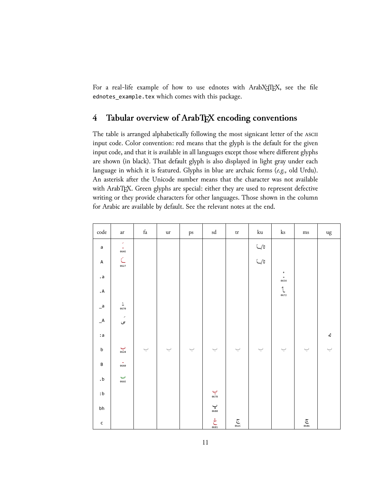For a real-life example of how to use ednotes with ArabXFIEX, see the file ednotes\_example.tex which comes with this package.

# <span id="page-10-0"></span>**4 Tabular overview of ArabTEX encoding conventions**

The table is arranged alphabetically following the most signicant letter of the ASCII input code. Color convention: red means that the glyph is the default for the given input code, and that it is available in all languages except those where different glyphs are shown (in black). That default glyph is also displayed in light gray under each language in which it is featured. Glyphs in blue are archaic forms (*e.g.,* old Urdu). An asterisk after the Unicode number means that the character was not available with ArabTEX. Green glyphs are special: either they are used to represent defective writing or they provide characters for other languages. Those shown in the column for Arabic are available by default. See the relevant notes at the end.

| $\mathop{\mathrm{code}}$         | $\operatorname{ar}$              | $\operatorname{fa}$       | ur                        | $\mathbf{p}\mathbf{s}$    | $\ensuremath{\mathrm{sd}}$ | $\mbox{tr}$              | $\rm{ku}$                                         | $\rm ks$                         | $\rm ms$                  | $\mathrm{u}\mathrm{g}$ |
|----------------------------------|----------------------------------|---------------------------|---------------------------|---------------------------|----------------------------|--------------------------|---------------------------------------------------|----------------------------------|---------------------------|------------------------|
| $\mathsf a$                      | ×<br>$\hat{\phantom{a}}$<br>064E |                           |                           |                           |                            |                          | $\ensuremath{\mathbb{C}}/\ensuremath{\mathbb{B}}$ |                                  |                           |                        |
| $\mathsf A$                      | $\subset$<br>0627                |                           |                           |                           |                            |                          | $\ensuremath{\mathbb{C}}/\ensuremath{\mathbb{B}}$ |                                  |                           |                        |
| . $\mathsf{a}$                   |                                  |                           |                           |                           |                            |                          |                                                   | ¢<br>$\blacksquare$<br>0654      |                           |                        |
| $\mathsf{A}\,$                   |                                  |                           |                           |                           |                            |                          |                                                   | $\mathring{\mathcal{L}}$<br>0672 |                           |                        |
| $\mathsf{=}^\mathsf{a}$          | $\frac{1}{0670}$                 |                           |                           |                           |                            |                          |                                                   |                                  |                           |                        |
| $\mathcal{A}$                    | $\overline{\phantom{a}}$<br>ی    |                           |                           |                           |                            |                          |                                                   |                                  |                           |                        |
| : ${\sf a}$                      |                                  |                           |                           |                           |                            |                          |                                                   |                                  |                           | ئە                     |
| $\sf b$                          | $\sum_{0\dot{6}28}$              | $\smash{\smash{\bigcup}}$ | $\smash{\smash{\bigcup}}$ | $\smash{\smash{\bigcup}}$ | ب                          | $\overline{\phantom{0}}$ | $\overline{\phantom{0}}$                          | $\smash{\smash{\bigcup}}$        | $\smash{\smash{\bigcup}}$ | ب                      |
| $\sf{B}$                         | $\frac{1}{0640}$                 |                           |                           |                           |                            |                          |                                                   |                                  |                           |                        |
| $\cdot$ b                        | ب<br>066E                        |                           |                           |                           |                            |                          |                                                   |                                  |                           |                        |
| $\mathrel{\mathsf{:}}\mathsf{b}$ |                                  |                           |                           |                           | $\sum_{067B}$              |                          |                                                   |                                  |                           |                        |
| bh                               |                                  |                           |                           |                           | $\mathbf{v}$ a<br>680      |                          |                                                   |                                  |                           |                        |
| $\mathsf{c}$                     |                                  |                           |                           |                           | $\sum_{0681}^{6}$          | $\sum_{062C}$            |                                                   |                                  | $\sum_{0686}$             |                        |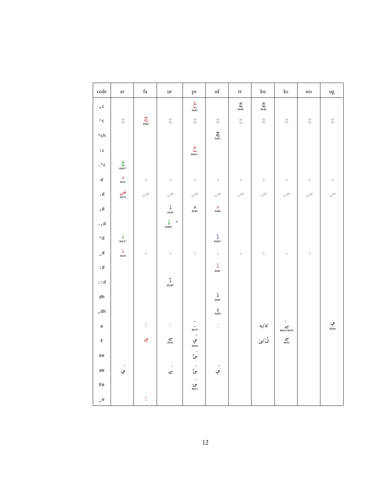| $\mathop{\mathrm{code}}$                                                                                  | $\operatorname{ar}$           | $\operatorname{fa}$                                         | $_{\mathrm{ur}}$           | ps                                 | $\ensuremath{\mathrm{sd}}$       | $\mathop{\mathrm{tr}}$            | $\rm{ku}$                   | $\rm ks$                           | $\rm ms$                  | ug                    |
|-----------------------------------------------------------------------------------------------------------|-------------------------------|-------------------------------------------------------------|----------------------------|------------------------------------|----------------------------------|-----------------------------------|-----------------------------|------------------------------------|---------------------------|-----------------------|
| $\Box$<br>$\Box$                                                                                          |                               |                                                             |                            | $\sum_{0685}$                      |                                  | $\widetilde{\mathfrak{S}}_{0686}$ | $\sum_{0686}$               |                                    |                           |                       |
| $^\wedge\textsf{c}$                                                                                       | $\widetilde{\mathcal{C}}$     | $\sum_{0686}$                                               | $\widetilde{\subset}$      | $\widetilde{\subset}$              | $\widetilde{\mathcal{C}}$        | $\widetilde{\subset}$             | $\widetilde{\mathcal{C}}$   | $\widetilde{\mathcal{C}}$          | $\widetilde{\mathcal{C}}$ | $\widetilde{\subset}$ |
| $\mathbin{\char`\^}ch$                                                                                    |                               |                                                             |                            |                                    | $\sum_{\text{0687}}$             |                                   |                             |                                    |                           |                       |
| $\colon\!{\mathsf{c}}$                                                                                    |                               |                                                             |                            | $\sum_{0.6824}^{1}$                |                                  |                                   |                             |                                    |                           |                       |
| . $\mathbin{\char`\^}c$                                                                                   | $\frac{1}{\sigma^2}$<br>06BF* |                                                             |                            |                                    |                                  |                                   |                             |                                    |                           |                       |
| $\operatorname{\mathsf{d}}$                                                                               | د<br>062F                     | $\supset$                                                   | $\supset$                  | $\supset$                          | $\mathcal{L}_{\mathcal{L}}$      | $\supset$                         | $\supset$                   | $\supset$                          | $\supset$                 | $\supset$             |
| $\mathsf{.d}$                                                                                             | ض<br><sub>0636</sub>          | ض                                                           | ض                          | ض                                  | ض                                | ض                                 | ض                           | ض                                  | ض                         | ض                     |
| , d                                                                                                       |                               |                                                             | ڈ<br>8688                  | <b>نې</b><br>0689                  | $\frac{2}{968}$                  |                                   |                             |                                    |                           |                       |
| $\cdot$ , d                                                                                               |                               |                                                             | $\sum_{0.6888*}^{b} a$     |                                    |                                  |                                   |                             |                                    |                           |                       |
| $^\wedge\textnormal{d}$                                                                                   | $\hat{\mathsf{S}}$<br>06EE*   |                                                             |                            |                                    | $\mathring{\mathbb{S}}$<br>068E* |                                   |                             |                                    |                           |                       |
| $\mathord{\hspace{1pt}\text{--}\hspace{1pt}}^{\mathsf{d}}$                                                | $\frac{1}{\frac{1}{200}}$     | $\stackrel{\scriptscriptstyle *}{\scriptscriptstyle \circ}$ | $\mathring{\supset}$       | $\mathbb{I}$                       | $\mathbb{I}$                     | $\stackrel{*}{\circ}$             | $\mathbb{I}$                | $\mathring{\supset}$               | $\mathring{\supset}$      |                       |
| $:\!{\sf d}$                                                                                              |                               |                                                             |                            |                                    | $\tilde{\mathbb{I}}$<br>068F     |                                   |                             |                                    |                           |                       |
| : d                                                                                                       |                               |                                                             | ڈ<br>0690*                 |                                    |                                  |                                   |                             |                                    |                           |                       |
| dh                                                                                                        |                               |                                                             |                            |                                    | ڈ<br>068C                        |                                   |                             |                                    |                           |                       |
| ,dh                                                                                                       |                               |                                                             |                            |                                    | <u>د</u><br>0680                 |                                   |                             |                                    |                           |                       |
| $\mathsf{e}% _{t}\left( t\right) \equiv\mathsf{e}_{t}\left( t\right) \equiv\mathsf{e}_{t}\left( t\right)$ |                               | $\tilde{\mathbb{R}}$                                        | $\overline{\phantom{a}}$   |                                    | $\frac{1}{2}$                    |                                   | ئە/ـە<br>ئى <sup>ن/</sup> ى | $\mathbf{c}$<br>$\sum_{06D2+0658}$ |                           | ىپ<br>06D0            |
| $\mathsf E$                                                                                               |                               | چ                                                           | $\epsilon$ <sub>06D2</sub> |                                    |                                  |                                   |                             | $\sum_{\text{06D2}}$               |                           |                       |
| ee                                                                                                        |                               |                                                             |                            | ۔<br>ئ                             |                                  |                                   |                             |                                    |                           |                       |
| ae                                                                                                        | َ<br>ي                        |                                                             | $\epsilon$                 | َ<br>ئ                             | َ<br>ي                           |                                   |                             |                                    |                           |                       |
| Ee                                                                                                        |                               |                                                             |                            | $\overline{a}$<br><b>ى</b><br>06CD |                                  |                                   |                             |                                    |                           |                       |
| e                                                                                                         |                               | $\frac{1}{3}$                                               |                            |                                    |                                  |                                   |                             |                                    |                           |                       |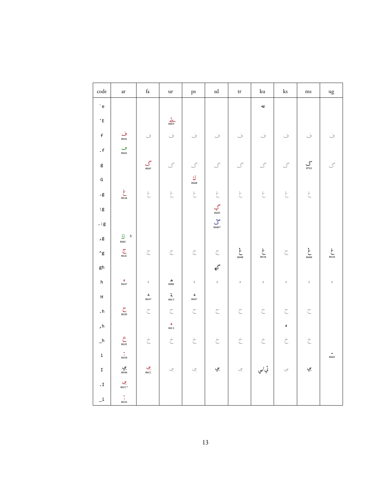| code                                                                        | $\operatorname{ar}$              | $\operatorname{fa}$                                                     | $_{\mathrm{ur}}$                  | $\mathbf{p}\mathbf{s}$                                   | $\operatorname{\sf sd}$                                                                                                                                                                                                                                                                                                                                                                                                 | $\mathop{\mathrm{tr}}$          | $\rm{ku}$                                                  | $\rm ks$                                                 | $\rm ms$                | ug                  |
|-----------------------------------------------------------------------------|----------------------------------|-------------------------------------------------------------------------|-----------------------------------|----------------------------------------------------------|-------------------------------------------------------------------------------------------------------------------------------------------------------------------------------------------------------------------------------------------------------------------------------------------------------------------------------------------------------------------------------------------------------------------------|---------------------------------|------------------------------------------------------------|----------------------------------------------------------|-------------------------|---------------------|
| $\lq$ e                                                                     |                                  |                                                                         |                                   |                                                          |                                                                                                                                                                                                                                                                                                                                                                                                                         |                                 | dC                                                         |                                                          |                         |                     |
| $^\prime$ E                                                                 |                                  |                                                                         | $rac{2}{\sqrt{603}}$              |                                                          |                                                                                                                                                                                                                                                                                                                                                                                                                         |                                 |                                                            |                                                          |                         |                     |
| $\mathsf{f}$                                                                | ف<br><sub>0641</sub>             | ف                                                                       | $\dot{\circ}$                     | $\dot{\cup}$                                             | ف                                                                                                                                                                                                                                                                                                                                                                                                                       | $\dot{\smile}$                  | ف                                                          | ف                                                        | ف                       | ف                   |
| . $\mathsf f$                                                               | ڡ<br>06A1                        |                                                                         |                                   |                                                          |                                                                                                                                                                                                                                                                                                                                                                                                                         |                                 |                                                            |                                                          |                         |                     |
| $\sf g$                                                                     |                                  | گ<br>06AF                                                               | $\mathcal{S}$                     | $\mathcal{S}$                                            | $\mathcal{S}$                                                                                                                                                                                                                                                                                                                                                                                                           | $\mathcal{S}$                   | $\mathcal{S}$                                              | $\mathcal{S}$                                            | ىنى<br>0762             | $\mathcal{S}$       |
| G                                                                           |                                  |                                                                         |                                   | $\frac{1}{\sqrt{2}}$<br>06AB                             |                                                                                                                                                                                                                                                                                                                                                                                                                         |                                 |                                                            |                                                          |                         |                     |
| $\cdot$ g                                                                   | غ<br>063A                        | $\stackrel{\scriptscriptstyle\circ}{\phantom{\scriptscriptstyle\circ}}$ | $\stackrel{\cdot}{\mathcal{L}}$   | $\stackrel{\scriptscriptstyle \circ}{\phantom{}_{\sim}}$ |                                                                                                                                                                                                                                                                                                                                                                                                                         | $\stackrel{\cdot}{\mathcal{C}}$ | $\stackrel{\scriptscriptstyle *}{\scriptscriptstyle \sim}$ | $\stackrel{\scriptscriptstyle \circ}{\phantom{}_{\sim}}$ | $\stackrel{.}{\subset}$ |                     |
| $\colon\! g$                                                                |                                  |                                                                         |                                   |                                                          | $rac{2}{\sqrt{1+\frac{3}{1+\frac{3}{1+\frac{3}{1+\frac{3}{1+\frac{3}{1+\frac{3}{1+\frac{3}{1+\frac{3}{1+\frac{3}{1+\frac{3}{1+\frac{3}{1+\frac{3}{1+\frac{3}{1+\frac{3}{1+\frac{3}{1+\frac{3}{1+\frac{3}{1+\frac{3}{1+\frac{3}{1+\frac{3}{1+\frac{3}{1+\frac{3}{1+\frac{3}{1+\frac{3}{1+\frac{3}{1+\frac{3}{1+\frac{3}{1+\frac{3}{1+\frac{3}{1+\frac{3}{1+\frac{3}{1+\frac{3}{1+\frac{3}{1+\frac{3}{1+\frac{3}{1+\frac$ |                                 |                                                            |                                                          |                         |                     |
| $\boldsymbol{\cdot}:\mathbf{g}% \rightarrow\mathbf{g}\rightarrow\mathbf{g}$ |                                  |                                                                         |                                   |                                                          |                                                                                                                                                                                                                                                                                                                                                                                                                         |                                 |                                                            |                                                          |                         |                     |
| , $\mathsf g$                                                               | $\underline{j}$ b<br><b>06AC</b> |                                                                         |                                   |                                                          |                                                                                                                                                                                                                                                                                                                                                                                                                         |                                 |                                                            |                                                          |                         |                     |
| $^\wedge\mathrm{g}$                                                         | $\sum_{062C}$                    | $\overline{\subset}$                                                    | $\overline{\subset}$              | $\overline{\mathbb{C}}$                                  | $\overline{\subset}$                                                                                                                                                                                                                                                                                                                                                                                                    | خ<br>06A0                       | غ<br>063A                                                  | $\overline{\subset}$                                     | مڠ<br>6640              | غ<br>063A           |
| gh                                                                          |                                  |                                                                         |                                   |                                                          | گه                                                                                                                                                                                                                                                                                                                                                                                                                      |                                 |                                                            |                                                          |                         |                     |
| h                                                                           | $\frac{0}{0647}$                 | $\hat{\mathcal{O}}$                                                     | ه<br>06BE                         | $\hat{\mathcal{O}}$                                      | $\hat{\mathcal{O}}$                                                                                                                                                                                                                                                                                                                                                                                                     | $\circ$                         | $\circ$                                                    | $\hat{\mathcal{O}}$                                      | $\hat{\mathcal{O}}$     | $\hat{\mathcal{O}}$ |
| $\boldsymbol{\mathsf{H}}$                                                   |                                  | $\mathbf{d}_\mathrm{c}$<br>0647                                         | $\mathbf{\hat{a}}$<br><b>06C3</b> | $\mathbf{d}_\mathrm{c}$<br>0647                          |                                                                                                                                                                                                                                                                                                                                                                                                                         |                                 |                                                            |                                                          |                         |                     |
| . $h$                                                                       | $\sum_{\text{062D}}$             | $\subset$                                                               | $\subset$                         | $\subset$                                                | $\subset$                                                                                                                                                                                                                                                                                                                                                                                                               | $\subset$                       | $\subset$                                                  | $\subset$                                                | $\subset$               |                     |
| , h                                                                         |                                  |                                                                         | $\frac{0}{06C1}$                  |                                                          |                                                                                                                                                                                                                                                                                                                                                                                                                         |                                 |                                                            | $\pmb{\circ}$                                            |                         |                     |
| $\_h$                                                                       | $\dot{\zeta}$                    | $\stackrel{\cdot}{\subset}$                                             | $\dot{\tilde{\zeta}}$             | $\dot{\tilde{\zeta}}$                                    | $\dot{\tilde{\mathcal{C}}}$                                                                                                                                                                                                                                                                                                                                                                                             | $\stackrel{\cdot}{\subset}$     | $\stackrel{\cdot}{\subset}$                                | $\dot{\tilde{\zeta}}$                                    | $\dot{\tilde{\zeta}}$   |                     |
| $\mathtt{i}$                                                                | $\frac{1}{0.650}$                |                                                                         |                                   |                                                          |                                                                                                                                                                                                                                                                                                                                                                                                                         |                                 |                                                            |                                                          |                         | ۰<br>066E           |
| $\mathtt I$                                                                 | جي<br>0644                       | چې<br>06CC                                                              | ج                                 | ج                                                        | چي                                                                                                                                                                                                                                                                                                                                                                                                                      | ج                               | ئي <sub>/ي</sub>                                           | $\circ$                                                  | چي                      |                     |
| . $\mathtt I$                                                               | چى<br>*06CC                      |                                                                         |                                   |                                                          |                                                                                                                                                                                                                                                                                                                                                                                                                         |                                 |                                                            |                                                          |                         |                     |
| $\mathbf{u}$                                                                | $-$<br>$0656$                    |                                                                         |                                   |                                                          |                                                                                                                                                                                                                                                                                                                                                                                                                         |                                 |                                                            |                                                          |                         |                     |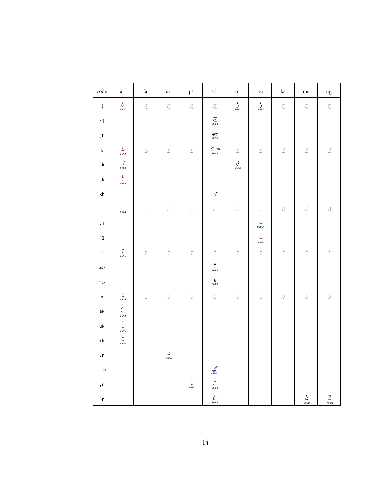| code                                                                                | ar                                 | $\operatorname{fa}$        | $_{\mathrm{ur}}$                 | $\mathbf{p}\mathbf{s}$  | $\operatorname{sd}$                   | $\mbox{tr}$                | $\rm{ku}$       | $\rm ks$                   | $\rm ms$                  | ug                |
|-------------------------------------------------------------------------------------|------------------------------------|----------------------------|----------------------------------|-------------------------|---------------------------------------|----------------------------|-----------------|----------------------------|---------------------------|-------------------|
| j                                                                                   | $\sum_{0620}$                      | $\overline{\mathbb{C}}$    | $\widetilde{\subset}$            | $\overline{\mathbb{C}}$ | $\overline{\subset}$                  | ژ<br><sub>0698</sub>       | ژ<br>8698       | $\overline{\mathbb{C}}$    | $\overline{\mathbb{C}}$   | $\subset$         |
| $\mathbf{.j}% \left( \mathbf{.j}\right) \equiv\mathbf{.j}\left( \mathbf{.j}\right)$ |                                    |                            |                                  |                         | $\sum_{0684}$                         |                            |                 |                            |                           |                   |
| jh                                                                                  |                                    |                            |                                  |                         | $rac{2}{\sqrt[3]{2}}$                 |                            |                 |                            |                           |                   |
| $\mathsf k$                                                                         | $\underbrace{\mathfrak{s}}_{0643}$ | $\underline{\mathfrak{s}}$ | $\underline{\mathfrak{s}}$       | $\underline{s}$         | $\sum_{\text{obaa}}$                  | $\underline{\mathfrak{s}}$ | $\underline{s}$ | $\underline{\mathfrak{s}}$ | $\underline{\mathcal{S}}$ | $\underline{s}$ ) |
| $\boldsymbol{\cdot}$ k                                                              | $\sum_{06A9}$                      |                            |                                  |                         |                                       | قى<br><sub>0642</sub>      |                 |                            |                           |                   |
| $\mathbf{-}^{\mathsf{k}}$                                                           | $\sum_{063A}$                      |                            |                                  |                         |                                       |                            |                 |                            |                           |                   |
| $\mathsf{k}\mathsf{h}$                                                              |                                    |                            |                                  |                         | ک                                     |                            |                 |                            |                           |                   |
| $\mathbf 1$                                                                         | ل<br>0644                          | $\bigcup$                  | $\bigcup$                        | $\bigcup$               | J                                     | $\bigcup$                  | J               | $\bigcup$                  | $\bigcup$                 | J                 |
| $\cdot\,1$                                                                          |                                    |                            |                                  |                         |                                       |                            | لَ<br>06B6*     |                            |                           |                   |
| $^\wedge1$                                                                          |                                    |                            |                                  |                         |                                       |                            | ڵ<br>06B5       |                            |                           |                   |
| ${\mathsf m}$                                                                       | 0645                               | $\uparrow$                 | $\uparrow$                       | $\uparrow$              | $\uparrow$                            | $\uparrow$                 | $\uparrow$      | $\uparrow$                 | $\uparrow$                | $\uparrow$        |
| . $m{\mathbb T} N$                                                                  |                                    |                            |                                  |                         | $\int_{0}^{\pi}$<br>$\theta$ 6FE      |                            |                 |                            |                           |                   |
| $^{\prime}$   IN                                                                    |                                    |                            |                                  |                         | $\frac{c}{\theta 6FD}$                |                            |                 |                            |                           |                   |
| $\sf n$                                                                             | ن<br>0646                          | ن                          | ن                                | Ċ                       | ن                                     | $\dot{\cup}$               | $\dot{\cup}$    | $\dot{\bigcup}$            | $\dot{\bigcup}$           | ن                 |
| aN                                                                                  | $\mathring{\subset}$<br>064B       |                            |                                  |                         |                                       |                            |                 |                            |                           |                   |
| uN                                                                                  | ğ,<br>$\omega$<br>064C             |                            |                                  |                         |                                       |                            |                 |                            |                           |                   |
| iN                                                                                  | $\frac{1}{\frac{3}{664D}}$         |                            |                                  |                         |                                       |                            |                 |                            |                           |                   |
| . ${\sf n}$                                                                         |                                    |                            | $\mathrel{\circ}$<br><b>06BA</b> |                         |                                       |                            |                 |                            |                           |                   |
| $\ldots$ n                                                                          |                                    |                            |                                  |                         | گي<br>*66B2                           |                            |                 |                            |                           |                   |
| , n                                                                                 |                                    |                            |                                  | نې<br>06BC              | $\bigcup_{\theta\in BB}^{\mathsf{b}}$ |                            |                 |                            |                           |                   |
| $^\wedge \textsf{n}$                                                                |                                    |                            |                                  |                         | $\sum_{0683}$                         |                            |                 |                            | ڻ<br>06BD                 | $\frac{2}{\pi}$ ه |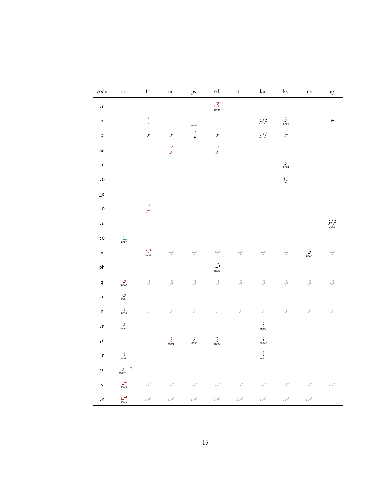| $\operatorname{code}$             | $\operatorname{ar}$                           | $\operatorname{fa}$                                    | ur                                   | ps                                  | $\operatorname{sd}$                                              | $\mathop{\mathrm{tr}}$               | $\rm{ku}$                     | $\rm ks$                  | ms                                                | ug                                                      |
|-----------------------------------|-----------------------------------------------|--------------------------------------------------------|--------------------------------------|-------------------------------------|------------------------------------------------------------------|--------------------------------------|-------------------------------|---------------------------|---------------------------------------------------|---------------------------------------------------------|
| : $\mathsf n$                     |                                               |                                                        |                                      |                                     | $\sum_{06B1}$                                                    |                                      |                               |                           |                                                   |                                                         |
| $\mathsf{o}$                      |                                               | $\boldsymbol{\mathcal{I}}$<br>$\overline{\phantom{a}}$ |                                      | $\epsilon$<br>$\frac{1}{2}$<br>0657 |                                                                  |                                      | ئۆ/ۆ                          | ۇ<br>06C6                 |                                                   | ح                                                       |
| $\mathsf{o}$                      |                                               | و                                                      | و                                    | $\epsilon$<br>حر                    | و.                                                               |                                      | ئۆ/ۆ                          | و                         |                                                   |                                                         |
| ao                                |                                               |                                                        | ر<br>مو                              |                                     | ر<br>مو                                                          |                                      |                               |                           |                                                   |                                                         |
| $\boldsymbol{\cdot}$ o            |                                               |                                                        |                                      |                                     |                                                                  |                                      |                               | ه<br>06C4                 |                                                   |                                                         |
| $\boldsymbol{\cdot}$ 0            |                                               |                                                        |                                      |                                     |                                                                  |                                      |                               | وأ                        |                                                   |                                                         |
| $\overline{\phantom{0}}^{\circ}$  |                                               | $\epsilon$<br>$\overline{\phantom{a}}$                 |                                      |                                     |                                                                  |                                      |                               |                           |                                                   |                                                         |
| $\overline{\phantom{0}}^0$        |                                               | $\bar{\lambda}$<br>حو                                  |                                      |                                     |                                                                  |                                      |                               |                           |                                                   |                                                         |
| $\mathbf{.} \circ$                |                                               |                                                        |                                      |                                     |                                                                  |                                      |                               |                           |                                                   | ئۆ/ۆ<br>‱                                               |
| $\mathbin{\mathsf{:}} \mathtt{O}$ | خ<br>06FC                                     |                                                        |                                      |                                     |                                                                  |                                      |                               |                           |                                                   |                                                         |
| $\mathsf{p}% _{T}=\mathsf{p}_{T}$ |                                               | $\sum_{\text{067E}}$                                   | $\overline{\overline{\overline{y}}}$ | $\underset{\tau}{\smile}$           | $\overline{\overline{\overline{y}}}$                             | $\overline{\overline{\overline{y}}}$ | $\underset{\tau}{\smile}$     | $\underset{\tau}{\smile}$ | ڤ<br>668                                          | $\overline{\overline{\overline{z}}}$                    |
| ph                                |                                               |                                                        |                                      |                                     | ق<br>06A6                                                        |                                      |                               |                           |                                                   |                                                         |
| $\mathsf{q}$                      | ق<br><sub>0642</sub>                          | ق                                                      | ق                                    | ق                                   | ق                                                                | ق                                    | ق                             | $\tilde{\mathcal{O}}$     | ق                                                 | ق                                                       |
| . $\mathsf{q}$                    | $\mathop{\mathrm{co}}\limits_{066\mathrm{F}}$ |                                                        |                                      |                                     |                                                                  |                                      |                               |                           |                                                   |                                                         |
| $\mathsf{r}$                      | $\int_{0631}$                                 | $\,$                                                   | $\!\!$                               | $\mathcal I$                        | J                                                                |                                      | $\mathcal{I}$                 | J                         | $\mathcal I$                                      | $\!\!$                                                  |
| $\cdot$ r                         | <b>ل</b><br>*8694                             |                                                        |                                      |                                     |                                                                  |                                      | $\bigvee_{0695}$              |                           |                                                   |                                                         |
| , r                               |                                               |                                                        | $\int_{0691}^{b}$                    | <b>لې</b><br>0693                   | $\int_{0699}^{1}$                                                |                                      | <b>بر</b><br>*0694            |                           |                                                   |                                                         |
| $\mathbin{\char`\^}r$             | $\int_{\text{06EF}^{*}}$                      |                                                        |                                      |                                     |                                                                  |                                      | $\sum_{0.692}^{9}$            |                           |                                                   |                                                         |
| $\colon$<br>$\vdash$              | $\int_{0.697^{*}}^{0} c$                      |                                                        |                                      |                                     |                                                                  |                                      |                               |                           |                                                   |                                                         |
| s                                 | س<br>6633                                     | $\cup^{\omega}$                                        | $\smash{\smash{\bigcup^\omega}}$     | $\smash{\smash{\bigcup^\omega}}$    | $\smash{\smash{\smash{\cup}}^{\scriptscriptstyle{\mathsf{w}}} }$ | $\smash{\smash{\bigcup^\omega}}$     | $\smash{\smash{\cup}}^\omega$ | $\cup^{\omega}$           | $\smash{\smash{\cup}}^{\scriptscriptstyle\omega}$ | $\smash{\smash{\cup}}^{\scriptscriptstyle{\mathsf{w}}}$ |
| $\cdot$ S                         | ص<br><sub>0635</sub>                          | $\circ$                                                | ص                                    | ص                                   | $\mathcal{C}^{\phi}$                                             | ص                                    | $\circ$                       | ص                         | $\mathcal{C}^{\phi}$                              |                                                         |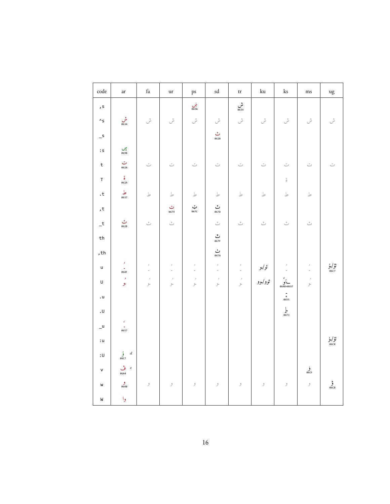| $\operatorname{code}$         | $\operatorname{ar}$                        | $\operatorname{fa}$                             | $\mathbf{u}\mathbf{r}$                               | ps                                            | $\operatorname{sd}$                                  | $\mbox{tr}$                                          | $\rm{ku}$              | $\rm ks$                            | $\rm ms$                | ug                      |
|-------------------------------|--------------------------------------------|-------------------------------------------------|------------------------------------------------------|-----------------------------------------------|------------------------------------------------------|------------------------------------------------------|------------------------|-------------------------------------|-------------------------|-------------------------|
| , s                           |                                            |                                                 |                                                      | ښ<br><sub>069A</sub>                          |                                                      | ش<br><sub>0634</sub>                                 |                        |                                     |                         |                         |
| $\mathrel{\wedge} \mathsf{s}$ | ش<br>8634                                  | ىش                                              | ش<br>س                                               | ش<br>س                                        | ىش                                                   | ىش                                                   | ش                      | ش<br>س                              | ش<br>س                  | ىش                      |
| $\overline{\phantom{0}}$ s    |                                            |                                                 |                                                      |                                               | ٹ<br>062B                                            |                                                      |                        |                                     |                         |                         |
| $\colon\!{\sf s}$             | بیں<br>069B                                |                                                 |                                                      |                                               |                                                      |                                                      |                        |                                     |                         |                         |
| $\sf t$                       | ت<br>062A                                  | ت                                               | $\tilde{\phantom{a}}$                                | $\tilde{\phantom{a}}$                         | $\tilde{\smile}$                                     | $\tilde{\smile}$                                     | $\tilde{\smash{\cup}}$ | ت                                   | $\tilde{\phantom{a}}$   | $\ddot{\smile}$         |
| $\mathsf T$                   | $\tilde{\delta}$<br>062A                   |                                                 |                                                      |                                               |                                                      |                                                      |                        | $\stackrel{\leftrightarrow}{\circ}$ |                         |                         |
| $\cdot^\mathrm{t}$            | ط<br>0637                                  | $\mathbbmss{}$                                  | $\mathbbmss{}$                                       | $\mathbbmss{}$                                | $\mathbbmss{}$                                       | $\mathbbmss{}$                                       | $\mathbbmss{}$         | $\mathbbmss{}$                      | $\mathbbmss{}$          |                         |
| $^{\rm t}$                    |                                            |                                                 | ٹ<br>0679                                            | ټ<br>067c                                     | ٹ<br>067D                                            |                                                      |                        |                                     |                         |                         |
| $\mathsf{-t}$                 | ٹ<br>062B                                  | ٹ                                               | ٹ                                                    |                                               | ٹ                                                    | ٹ                                                    | ٹ                      | ٹ                                   | ٹ                       |                         |
| th                            |                                            |                                                 |                                                      |                                               | رٿي<br>067F                                          |                                                      |                        |                                     |                         |                         |
| ,th                           |                                            |                                                 |                                                      |                                               | ٺ<br>067A                                            |                                                      |                        |                                     |                         |                         |
| $\sf u$                       | $\boldsymbol{\mathcal{F}}$<br>$-864F$      | $\hat{\mathcal{F}}$<br>$\overline{\phantom{a}}$ | $\mathrel{{\mathcal I}}$<br>$\overline{\phantom{a}}$ | $\mathrel{\beta}$<br>$\overline{\phantom{a}}$ | $\mathrel{{\mathcal I}}$<br>$\overline{\phantom{a}}$ | $\mathrel{{\mathcal I}}$<br>$\overline{\phantom{a}}$ | ئولو                   | $\boldsymbol{\beta}$                | $\mathrel{\beta}$<br>i. | ئۇ/ۇ<br><sub>06C7</sub> |
| $\sf U$                       | و<br>ح                                     | $\mathcal I$<br>لو                              | $\mathcal I$<br>عر                                   | $\mathcal I$<br>عر                            | $\mathcal I$<br>لو                                   | $\beta$<br>عر                                        | ئوو/ <sub>وو</sub>     | )<br>0648+0657                      | $\mathcal I$<br>ح       |                         |
| . $\sf u$                     |                                            |                                                 |                                                      |                                               |                                                      |                                                      |                        | $rac{1}{6}$<br>0655                 |                         |                         |
| $\cdot$ U                     |                                            |                                                 |                                                      |                                               |                                                      |                                                      |                        | $L$<br>0673                         |                         |                         |
| $u_{-}$                       | $\mathcal{C}$<br>$-8657$                   |                                                 |                                                      |                                               |                                                      |                                                      |                        |                                     |                         |                         |
| :u                            |                                            |                                                 |                                                      |                                               |                                                      |                                                      |                        |                                     |                         | ئۈ/لو<br>‱              |
| :U                            | $\int\limits_{0.0007}$<br>$\boldsymbol{d}$ |                                                 |                                                      |                                               |                                                      |                                                      |                        |                                     |                         |                         |
| $\mathsf{v}$                  | ۇسى ۋە $e$<br>06A4                         |                                                 |                                                      |                                               |                                                      |                                                      |                        |                                     | في<br>06CF              |                         |
| W                             | و<br>0648                                  | $\mathcal I$                                    | $\mathcal{I}$                                        | $\mathcal I$                                  | $\mathcal{I}$                                        | $\mathcal{I}$                                        | $\mathcal{I}$          | $\mathcal{I}$                       | $\mathcal{I}$           | ۋ<br>06CB               |
| ${\sf W}$                     | وا                                         |                                                 |                                                      |                                               |                                                      |                                                      |                        |                                     |                         |                         |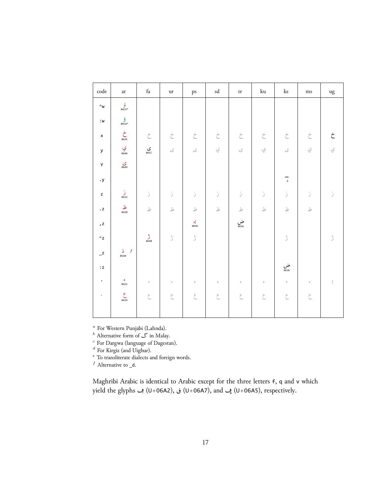| $\mathop{\mathrm{code}}$                    | ar                                        | $\operatorname{fa}$   | $_{\mathrm{ur}}$            | ps                          | sd                                | $\mbox{tr}$          | $\rm{ku}$       | $\rm ks$             | ms                          | $\rm u g$          |
|---------------------------------------------|-------------------------------------------|-----------------------|-----------------------------|-----------------------------|-----------------------------------|----------------------|-----------------|----------------------|-----------------------------|--------------------|
| $\mathcal{N}_{\mathsf{W}}$                  | $\hat{\mathbf{e}}_{\text{66C9*}}$         |                       |                             |                             |                                   |                      |                 |                      |                             |                    |
| : $\mathsf{w}$                              | ق<br>*06CA                                |                       |                             |                             |                                   |                      |                 |                      |                             |                    |
| $\pmb{\mathsf{x}}$                          | $\dot{\zeta}$                             | $\dot{\tilde{\zeta}}$ | $\dot{\tilde{\mathcal{C}}}$ | $\stackrel{\cdot}{\subset}$ | $\stackrel{\cdot}{\subset}$       | $\dot{\subset}$      | $\dot{\subset}$ | $\dot{\subset}$      | $\stackrel{\cdot}{\subset}$ | $\dot{\mathsf{C}}$ |
| ${\mathsf y}$                               | ي<br>064A                                 | ى<br>‱                | $\mathcal{S}$               | $\mathcal{S}$               | ي                                 | $\mathcal{S}$        | ي               | $\mathcal{S}$        | ي                           | ي                  |
| Υ                                           | ى<br><sub>0649</sub>                      |                       |                             |                             |                                   |                      |                 |                      |                             |                    |
| $\boldsymbol{\cdot}$ y                      |                                           |                       |                             |                             |                                   |                      |                 | ÷<br>$\Diamond$      |                             |                    |
| $\mathsf z$                                 | $\frac{1}{9632}$                          | ز                     | ز                           | ز                           | ز                                 | ز                    | ز               | ز                    | ز                           | ۯ                  |
| $\boldsymbol{\cdot}$ z                      | ظ<br>0638                                 | $\mathbf{\dot{a}}$    | $\mathbbm{E}$               | $\mathcal{L}$               | $\mathbf{\underline{\downarrow}}$ | $\mathbbm{E}$        | ظ               | ظ                    | $\mathbbm{E}$               |                    |
| , z                                         |                                           |                       |                             | <b>ب</b><br>8696            |                                   | ض<br><sub>0636</sub> |                 |                      |                             |                    |
| $\mathrel{{}^{\scriptscriptstyle\wedge}}$ z |                                           | ڑ<br>0698             | ۯ                           | ۯ                           |                                   |                      |                 | ۯ                    |                             | ۯ                  |
| $\mathsf{L}^\mathsf{Z}$                     | $\mathbbm{1}$<br>$\boldsymbol{f}$<br>0630 |                       |                             |                             |                                   |                      |                 |                      |                             |                    |
| $\colon\!{\mathsf{z}}$                      |                                           |                       |                             |                             |                                   |                      |                 | ض<br><sub>0636</sub> |                             |                    |
| $\mathbf{r}$                                | $\bullet$<br>0621                         | $\mathcal{G}$         | $\mathcal{G}$               | $\mathcal{G}$               | $\mathfrak{S}$                    | ¢                    | $\mathcal{G}$   | $\mathcal{G}$        | $\mathcal{G}$               | $\frac{\rho}{J}$   |
| $\tilde{\phantom{a}}$                       | $rac{c}{\sqrt{100}}$                      | $\tilde{\epsilon}$    | $\epsilon$                  | E.                          | E                                 | E.                   | E.              | $\zeta$              | E                           |                    |
|                                             |                                           |                       |                             |                             |                                   |                      |                 |                      |                             |                    |

a For Western Punjabi (Lahnda).<br>
b Alternative form of  $\mathcal{S}$  in Malay.<br>
c For Dargwa (language of Dagestan).<br>
d For Kirgiz (and Uighur).<br>
e To transliterate dialects and foreign words.

 $f$  Alternative to  $_d$ .

Maghribi Arabic is identical to Arabic except for the three letters f, q and v which yield the glyphs ب (U+06A2), في (U+06A2), and به (U+06A5), respectively.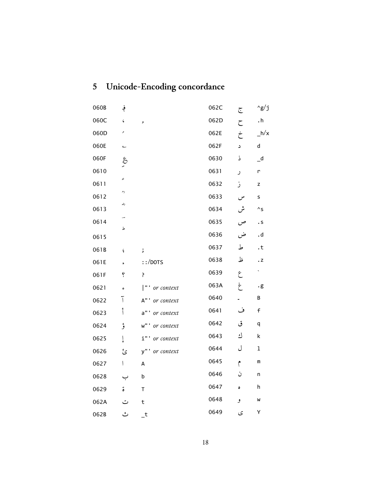<span id="page-17-0"></span>

| 5 |  | Unicode-Encoding concordance |  |  |
|---|--|------------------------------|--|--|
|---|--|------------------------------|--|--|

| 060B | ؋                        |                    | 062C | ج   | ^g/j                       |
|------|--------------------------|--------------------|------|-----|----------------------------|
| 060C | $\zeta$                  | J                  | 062D | ح   | $\cdot$ h                  |
| 060D | ۸                        |                    | 062E | خ   | $-h/x$                     |
| 060E | ے                        |                    | 062F | د   | d                          |
| 060F | $\hat{\mathcal{E}}$      |                    | 0630 | ذ   | $\overline{\phantom{a}}^d$ |
| 0610 |                          |                    | 0631 | ر   | r                          |
| 0611 | عہ                       |                    | 0632 | ز   | z                          |
| 0612 | رح                       |                    | 0633 | س   | s                          |
| 0613 | رضہ                      |                    | 0634 | ىثن | $^{\wedge}$ s              |
| 0614 |                          |                    | 0635 | ص   | . s                        |
| 0615 | ط                        |                    | 0636 | ض   | .d                         |
| 061B | ¢                        | $\mathbf{\dot{i}}$ | 0637 | ط   | $\cdot$ t                  |
| 061E | $\ddot{\phantom{1}}$     | $::/$ DOTS         | 0638 | ظ   | $\cdot$ Z                  |
| 061F | ė                        | ŗ                  | 0639 | ع   | ×,                         |
| 0621 | ء                        | "' or context      | 063A | غ   | $\cdot$ g                  |
| 0622 | Ī                        | A"' or context     | 0640 |     | В                          |
| 0623 | أ                        | a"' or context     | 0641 | ف   | $\mathsf f$                |
| 0624 | ؤ                        | w"' or context     | 0642 | ق   | q                          |
| 0625 | Į                        | i"' or context     | 0643 | ك   | k                          |
| 0626 | ئ                        | y"' or context     | 0644 | ل   | $\mathbf 1$                |
| 0627 | $\overline{\phantom{a}}$ | А                  | 0645 | ۴   | m                          |
| 0628 |                          | b                  | 0646 | ن   | n                          |
| 0629 | ة                        | $\mathsf T$        | 0647 | ٥   | h                          |
| 062A | ت                        | t                  | 0648 | و   | W                          |
| 062B | ٹ                        | $\mathsf{t}$       | 0649 | ى   | Υ                          |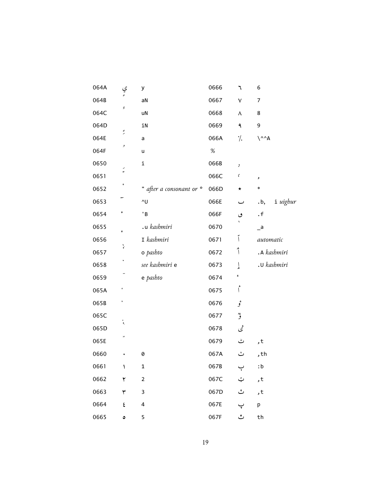| 064A | ي<br>ءَ              | у                              | 0666 | ٦        | 6                          |
|------|----------------------|--------------------------------|------|----------|----------------------------|
| 064B |                      | aN                             | 0667 | ٧        | 7                          |
| 064C | Ģ                    | uN                             | 0668 | ٨        | 8                          |
| 064D |                      | iN                             | 0669 | ٩        | 9                          |
| 064E | $\tilde{\cdot}$      | a                              | 066A | ۰/.      | $\Lambda^A$                |
| 064F | ۶                    | u                              | $\%$ |          |                            |
| 0650 | $\tilde{\cdot}$      | i                              | 066B | $\,$     |                            |
| 0651 |                      |                                | 066C | $\zeta$  | ر                          |
| 0652 |                      | " after a consonant or $\circ$ | 066D | $^\star$ | $\ast$                     |
| 0653 |                      | ^U                             | 066E | ب        | i uighur<br>.b,            |
| 0654 | ء                    | 'B                             | 066F | ٯ        | $\cdot$ f                  |
| 0655 | ¢                    | .u kashmiri                    | 0670 |          | $\overline{\phantom{a}}$ a |
| 0656 | $\check{\mathbf{r}}$ | I kashmiri                     | 0671 | أ        | automatic                  |
| 0657 |                      | o pashto                       | 0672 | ٱ        | .A kashmiri                |
| 0658 |                      | see kashmiri e                 | 0673 | ٳ        | .u kashmiri                |
| 0659 |                      | e pashto                       | 0674 | ء        |                            |
| 065A |                      |                                | 0675 | أ        |                            |
| 065B | ٨                    |                                | 0676 | ۇ        |                            |
| 065C | $\ddot{\cdot}$       |                                | 0677 | ۇ        |                            |
| 065D |                      |                                | 0678 | ئمى      |                            |
| 065E | ×                    |                                | 0679 | ٹ        | , t                        |
| 0660 |                      | 0                              | 067A | ٺ        | , th                       |
| 0661 | ١                    | $\mathbf{1}$                   | 067B | ٻ        | :b                         |
| 0662 | ۲                    | $\mathbf 2$                    | 067C | ټ        | , t                        |
| 0663 | ٣                    | 3                              | 067D | ٽ        | , t                        |
| 0664 | ٤                    | 4                              | 067E | پ        | p                          |
| 0665 | ٥                    | 5                              | 067F | ٿ        | th                         |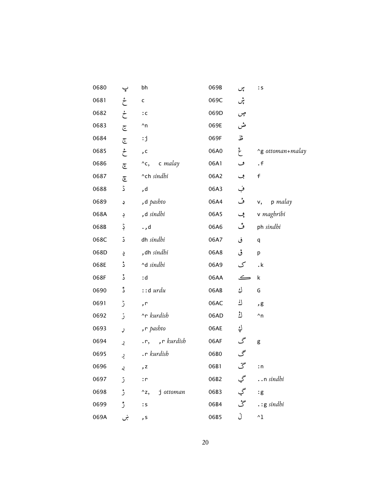| 0680 | ڀ                      | bh                         | 069B | ىپى    | $\mathbf{\mathsf{S}}$ |
|------|------------------------|----------------------------|------|--------|-----------------------|
| 0681 | ځ                      | c                          | 069C | پٹن    |                       |
| 0682 | ڂ                      | $\colon\!{\mathsf{c}}$     | 069D | چں     |                       |
| 0683 | ج                      | $\mathbin{\char`\^}n$      | 069E | ض      |                       |
| 0684 | ج                      | $\mathbf{i}$               | 069F | څل     |                       |
| 0685 | ڂ                      | $\mathsf{c}$               | 06A0 | غ<br>ح | ~g ottoman+malay      |
| 0686 | جح                     | $\wedge$ c, c malay        | 06A1 | ف      | . $f$                 |
| 0687 | $\widetilde{\epsilon}$ | ^ch sindhi                 | 06A2 | ڢ      | f                     |
| 0688 | ڈ                      | , d                        | 06A3 | ف      |                       |
| 0689 | $\div$                 | , d $\it{pasbto}$          | 06A4 | ڤ      | $v,$ p malay          |
| 068A | ڊ                      | ,d sindhi                  | 06A5 | ڥ      | v maghribi            |
| 068B | ڋ                      | ., d                       | 06A6 | ڦ      | ph sindhi             |
| 068C | ڌ                      | dh sindhi                  | 06A7 | ڧ      | q                     |
| 068D | ڍ                      | , dh sindhi                | 06A8 | ڨ      | р                     |
| 068E | ڈ                      | $\land$ d sindhi           | 06A9 | ک      | . $\mathsf k$         |
| 068F | ڈ                      | :d                         | 06AA | ڪ      | $\sf k$               |
| 0690 | ڈ                      | $::d$ urdu                 | 06AB | ڮ      | G                     |
| 0691 | ڑ                      | , $\mathsf{r}$             | 06AC | ڬ      | , g                   |
| 0692 | ڒ                      | ^r kurdish                 | 06AD | ڭ      | $^\wedge$ n           |
| 0693 | ړ                      | r pashto,                  | 06AE | اپ     |                       |
| 0694 | ڔ                      | .r, ,r kurdish             | 06AF | گ      | g                     |
| 0695 | ڕ                      | .r kurdish                 | 06B0 | گ      |                       |
| 0696 | ړي                     | , z                        | 06B1 | گ      | : n                   |
| 0697 | ڙ                      | : r                        | 06B2 | گي     | n sindhi              |
| 0698 | ڑ                      | j ottoman<br>$^{\wedge}z,$ | 06B3 | گې     | : g                   |
| 0699 | ڙ                      | : S                        | 06B4 | گُ     | $\cdot$ : g sindhi    |
| 069A | ښ                      | , s                        | 06B5 | ڵ      | $^{\wedge}1$          |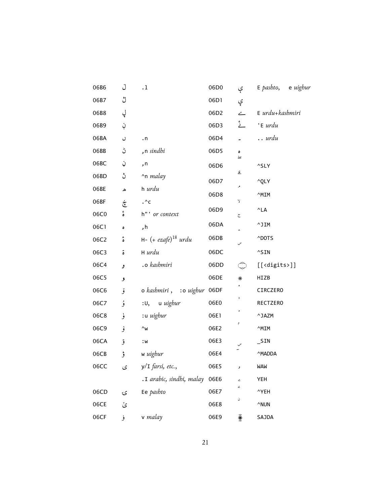| 06B6 | ل                  | $\cdot$ 1                     | 06D0 | ې                        | $E$ pashto, e uighur      |
|------|--------------------|-------------------------------|------|--------------------------|---------------------------|
| 06B7 | ڷ                  |                               | 06D1 | ۑ                        |                           |
| 06B8 | ڸ                  |                               | 06D2 | $\overline{\phantom{a}}$ | $E$ urdu+kashmiri         |
| 06B9 | ڹ                  |                               | 06D3 | ۓ                        | 'E urdu                   |
| 06BA | $\mathcal{O}$      | . $n$                         | 06D4 |                          | $\ldots$ urdu             |
| 06BB | ڻ                  | n sindhi,                     | 06D5 | ٥<br>صل                  |                           |
| 06BC | ڼ                  | , n                           | 06D6 |                          | ^SLY                      |
| 06BD | ڽ                  | $\gamma$ n <i>malay</i>       | 06D7 | قا                       | ^QLY                      |
| 06BE | ھ                  | h <i>urdu</i>                 | 06D8 | ↗                        | ^MIM                      |
| 06BF | خ                  | . $\mathbin{\char`\^}c$       |      | λ                        |                           |
| 06C0 | $\delta$           | h"' or context                | 06D9 | $\overline{\mathbb{C}}$  | $^{\wedge}{\sf LA}$       |
| 06C1 | $\bullet$          | , h                           | 06DA | å.                       | ^JIM                      |
| 06C2 | $\mathring{\circ}$ | $H - (+ ezafe)^{18}$ urdu     | 06DB | س                        | ^DOTS                     |
| 06C3 | $\ddot{\circ}$     | H urdu                        | 06DC |                          | $^{\wedge}$ SIN           |
| 06C4 | و                  | .o kashmiri                   | 06DD | (پہنی                    | $[$ [ <digits>]]</digits> |
| 06C5 | و                  |                               | 06DE | $\ast$                   | HIZB                      |
| 06C6 | ۆ                  | o kashmiri, :o uighur 06DF    |      |                          | CIRCZERO                  |
| 06C7 | ۇ                  | :U, u uighur                  | 06E0 | $\boldsymbol{0}$         | RECTZERO                  |
| 06C8 | ۇ                  | :u uighur                     | 06E1 |                          | $^{\wedge}$ JAZM          |
| 06C9 | ۇ                  | $\wedge_{\mathsf{W}}$         | 06E2 | م                        | ^MIM                      |
| 06CA | قر                 | : $\sf w$                     | 06E3 |                          | $\_$ SIN                  |
| 06CB | ؤ                  | w uighur                      | 06E4 |                          | ^MADDA                    |
| 06CC | $\mathcal{S}$      | y/I farsi, etc.,              | 06E5 |                          | WAW                       |
|      |                    | .I arabic, sindhi, malay 06E6 |      | ے                        | YEH                       |
| 06CD | ۍ                  | Ee pashto                     | 06E7 | ۷                        | ^YEH                      |
| 06CE | ێ                  |                               | 06E8 | ن                        | $^{\wedge}$ NUN           |
| 06CF | فر                 | v malay                       | 06E9 | ¥.                       | SAJDA                     |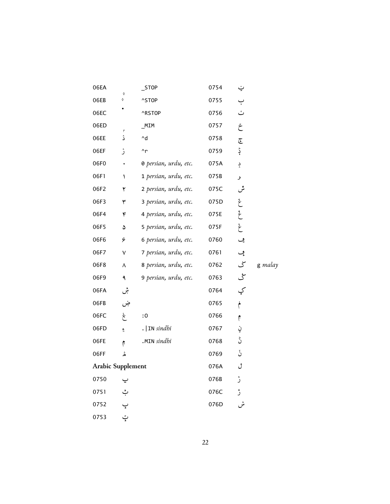| 06EA                     | ♦ | $\_$ STOP                                | 0754 | ݔ              |         |
|--------------------------|---|------------------------------------------|------|----------------|---------|
| 06EB                     | ♦ | $^{\wedge}$ STOP                         | 0755 | ب              |         |
| 06EC                     |   | ^RSTOP                                   | 0756 | ٽ              |         |
| 06ED                     | ۴ | MIM                                      | 0757 | خ              |         |
| 06EE                     | ۮ | $\mathord{\uparrow}\mathord{\mathsf{d}}$ | 0758 | تج             |         |
| 06EF                     | ۯ | $\mathsf{r}$                             | 0759 | بار            |         |
| 06F0                     |   | <b>0</b> persian, urdu, etc.             | 075A | ݚ              |         |
| 06F1                     | ١ | 1 persian, urdu, etc.                    | 075B | J              |         |
| 06F2                     | ۲ | 2 persian, urdu, etc.                    | 075C | ىٿى            |         |
| 06F3                     | ٣ | 3 persian, urdu, etc.                    | 075D | غ              |         |
| 06F4                     | ۴ | 4 persian, urdu, etc.                    | 075E | عَ             |         |
| 06F5                     | ۵ | 5 persian, urdu, etc.                    | 075F | $\ddot{\zeta}$ |         |
| 06F6                     | ۶ | 6 persian, urdu, etc.                    | 0760 | ڡۣ             |         |
| 06F7                     | ٧ | 7 persian, urdu, etc.                    | 0761 | ڡۑ             |         |
| 06F8                     | ٨ | 8 persian, urdu, etc.                    | 0762 | کی             | g malay |
| 06F9                     | ٩ | 9 persian, urdu, etc.                    | 0763 | ځی             |         |
| 06FA                     | ۺ |                                          | 0764 | کٍ             |         |
| 06FB                     | ۻ |                                          | 0765 | مُ             |         |
| 06FC                     | ۼ | $\boldsymbol{.0}$                        | 0766 | $\hat{r}$      |         |
| 06FD                     | ۴ | $.$   IN sindhi                          | 0767 | ڹ              |         |
| 06FE                     | ۴ | .MIN sindhi                              | 0768 | ڽؙ             |         |
| 06FF                     | ۿ |                                          | 0769 | ݩ              |         |
| <b>Arabic Supplement</b> |   |                                          | 076A | t              |         |
| 0750                     |   |                                          | 076B | ݫ              |         |
| 0751                     | ݑ |                                          | 076C | ڑ              |         |
| 0752                     |   |                                          | 076D |                |         |
| 0753                     | ټ |                                          |      |                |         |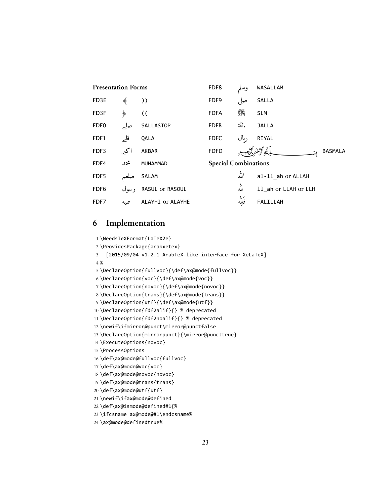| <b>Presentation Forms</b> |        |                  | FDF8                        |             | WASALLAM             |
|---------------------------|--------|------------------|-----------------------------|-------------|----------------------|
| FD3E                      | ◈      | ))               | FDF9                        | صلى         | SALLA                |
| FD3F                      | ◈      | (                | <b>FDFA</b>                 | ٩           | <b>SLM</b>           |
| FDF <sub>0</sub>          |        | SALLASTOP        | <b>FDFB</b>                 | جل<br>جلاله | <b>JALLA</b>         |
| FDF1                      | قله    | <b>OALA</b>      | <b>FDFC</b>                 | رىال        | RIYAL                |
| FDF3                      | اكبر   | AKBAR            | <b>FDFD</b>                 |             | <b>BASMALA</b>       |
| FDF4                      | محمد   | MUHAMMAD         | <b>Special Combinations</b> |             |                      |
| FDF5                      | صلعم   | SALAM            |                             | الله        | al-11 ah or ALLAH    |
| FDF <sub>6</sub>          | د سو ل | RASUL or RASOUL  |                             | لله         | 11 ah or LLAH or LLH |
| FDF7                      | عليه   | ALAYHI or ALAYHE |                             | ر<br>فلله   | FALILLAH             |

# <span id="page-22-0"></span>**6 Implementation**

```
1 \NeedsTeXFormat{LaTeX2e}
2 \ProvidesPackage{arabxetex}
3 [2015/09/04 v1.2.1 ArabTeX-like interface for XeLaTeX]
4 %
5 \DeclareOption{fullvoc}{\def\ax@mode{fullvoc}}
6 \DeclareOption{voc}{\def\ax@mode{voc}}
7 \DeclareOption{novoc}{\def\ax@mode{novoc}}
8 \DeclareOption{trans}{\def\ax@mode{trans}}
9 \DeclareOption{utf}{\def\ax@mode{utf}}
10 \DeclareOption{fdf2alif}{} % deprecated
11 \DeclareOption{fdf2noalif}{} % deprecated
12 \newif\ifmirror@punct\mirror@punctfalse
13 \DeclareOption{mirrorpunct}{\mirror@puncttrue}
14 \ExecuteOptions{novoc}
15 \ProcessOptions
16 \def\ax@mode@fullvoc{fullvoc}
17 \def\ax@mode@voc{voc}
18 \def\ax@mode@novoc{novoc}
19 \def\ax@mode@trans{trans}
20 \def\ax@mode@utf{utf}
21 \newif\ifax@mode@defined
22 \def\ax@ismode@defined#1{%
23 \ifcsname ax@mode@#1\endcsname%
24 \ax@mode@definedtrue%
```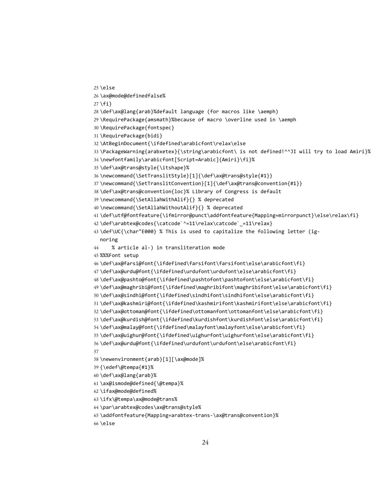```
25 \else
26 \ax@mode@definedfalse%
27 \{fi\}28 \def\ax@lang{arab}%default language (for macros like \aemph)
29 \RequirePackage{amsmath}%because of macro \overline used in \aemph
30 \RequirePackage{fontspec}
31 \RequirePackage{bidi}
32 \AtBeginDocument{\ifdefined\arabicfont\relax\else
33 \PackageWarning{arabxetex}{\string\arabicfont\ is not defined!^^JI will try to load Amiri}%
34 \newfontfamily\arabicfont[Script=Arabic]{Amiri}\fi}%
35 \def\ax@trans@style{\itshape}%
36 \newcommand{\SetTranslitStyle}[1]{\def\ax@trans@style{#1}}
37 \newcommand{\SetTranslitConvention}[1]{\def\ax@trans@convention{#1}}
38 \def\ax@trans@convention{loc}% Library of Congress is default
39 \newcommand{\SetAllahWithAlif}{} % deprecated
40 \newcommand{\SetAllahWithoutAlif}{} % deprecated
41 \def\utf@fontfeature{\ifmirror@punct\addfontfeature{Mapping=mirrorpunct}\else\relax\fi}
42\def\arabtex@codes{\catcode`^=11\relax\catcode` =11\relax}
43 \def\UC{\char"E000} % This is used to capitalize the following letter (ig-
  noring
44 % article al-) in transliteration mode
45 %%%Font setup
46 \def\ax@farsi@font{\ifdefined\farsifont\farsifont\else\arabicfont\fi}
47 \def\ax@urdu@font{\ifdefined\urdufont\urdufont\else\arabicfont\fi}
48 \def\ax@pashto@font{\ifdefined\pashtofont\pashtofont\else\arabicfont\fi}
49 \def\ax@maghribi@font{\ifdefined\maghribifont\maghribifont\else\arabicfont\fi}
50 \def\ax@sindhi@font{\ifdefined\sindhifont\sindhifont\else\arabicfont\fi}
51 \def\ax@kashmiri@font{\ifdefined\kashmirifont\kashmirifont\else\arabicfont\fi}
52 \def\ax@ottoman@font{\ifdefined\ottomanfont\ottomanfont\else\arabicfont\fi}
53 \def\ax@kurdish@font{\ifdefined\kurdishfont\kurdishfont\else\arabicfont\fi}
54 \def\ax@malay@font{\ifdefined\malayfont\malayfont\else\arabicfont\fi}
55 \def\ax@uighur@font{\ifdefined\uighurfont\uighurfont\else\arabicfont\fi}
56 \def\ax@urdu@font{\ifdefined\urdufont\urdufont\else\arabicfont\fi}
57
58 \newenvironment{arab}[1][\ax@mode]%
59 {\edef\@tempa{#1}%
60 \def\ax@lang{arab}%
61 \ax@ismode@defined{\@tempa}%
62 \ifax@mode@defined%
63 \ifx\@tempa\ax@mode@trans%
64 \par\arabtex@codes\ax@trans@style%
65 \addfontfeature{Mapping=arabtex-trans-\ax@trans@convention}%
```

```
66 \else
```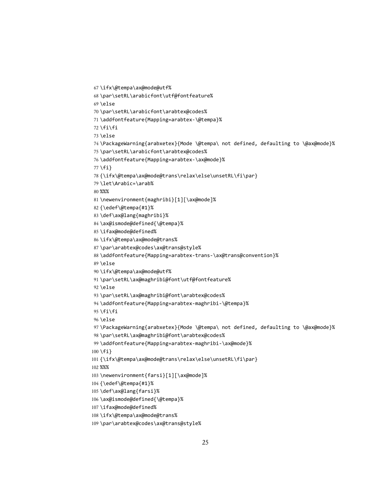```
67 \ifx\@tempa\ax@mode@utf%
68 \par\setRL\arabicfont\utf@fontfeature%
69 \else
70 \par\setRL\arabicfont\arabtex@codes%
71 \addfontfeature{Mapping=arabtex-\@tempa}%
72 \{fi\}73 \else
74 \PackageWarning{arabxetex}{Mode \@tempa\ not defined, defaulting to \@ax@mode}%
75 \par\setRL\arabicfont\arabtex@codes%
76 \addfontfeature{Mapping=arabtex-\ax@mode}%
77 \fi}
78 {\ifx\@tempa\ax@mode@trans\relax\else\unsetRL\fi\par}
79 \let\Arabic=\arab%
80 %%%
81 \newenvironment{maghribi}[1][\ax@mode]%
82 {\edef\@tempa{#1}%
83 \def\ax@lang{maghribi}%
84 \ax@ismode@defined{\@tempa}%
85 \ifax@mode@defined%
86 \ifx\@tempa\ax@mode@trans%
87 \par\arabtex@codes\ax@trans@style%
88 \addfontfeature{Mapping=arabtex-trans-\ax@trans@convention}%
89 \else
90 \ifx\@tempa\ax@mode@utf%
91 \par\setRL\ax@maghribi@font\utf@fontfeature%
92 \else
93 \par\setRL\ax@maghribi@font\arabtex@codes%
94 \addfontfeature{Mapping=arabtex-maghribi-\@tempa}%
95 \left\{ \frac{1}{1} \right\}96 \else
97 \PackageWarning{arabxetex}{Mode \@tempa\ not defined, defaulting to \@ax@mode}%
98 \par\setRL\ax@maghribi@font\arabtex@codes%
99 \addfontfeature{Mapping=arabtex-maghribi-\ax@mode}%
100 \fi}
101 {\ifx\@tempa\ax@mode@trans\relax\else\unsetRL\fi\par}
102 %%%
103 \newenvironment{farsi}[1][\ax@mode]%
104 {\edef\@tempa{#1}%
105 \def\ax@lang{farsi}%
106 \ax@ismode@defined{\@tempa}%
107 \ifax@mode@defined%
```

```
25
```
\ifx\@tempa\ax@mode@trans%

\par\arabtex@codes\ax@trans@style%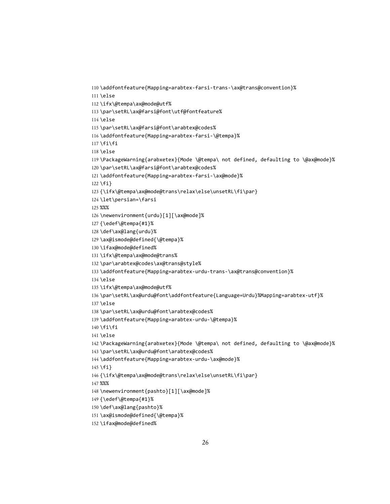```
112 \ifx\@tempa\ax@mode@utf%
113 \par\setRL\ax@farsi@font\utf@fontfeature%
114 \else
115 \par\setRL\ax@farsi@font\arabtex@codes%
116 \addfontfeature{Mapping=arabtex-farsi-\@tempa}%
117 \{fi\}118 \else
119 \PackageWarning{arabxetex}{Mode \@tempa\ not defined, defaulting to \@ax@mode}%
120 \par\setRL\ax@farsi@font\arabtex@codes%
121 \addfontfeature{Mapping=arabtex-farsi-\ax@mode}%
122 \fi}
123 {\ifx\@tempa\ax@mode@trans\relax\else\unsetRL\fi\par}
124 \let\persian=\farsi
125 %%%
126 \newenvironment{urdu}[1][\ax@mode]%
127 {\edef\@tempa{#1}%
128 \def\ax@lang{urdu}%
129 \ax@ismode@defined{\@tempa}%
130 \ifax@mode@defined%
131 \ifx\@tempa\ax@mode@trans%
132 \par\arabtex@codes\ax@trans@style%
133 \addfontfeature{Mapping=arabtex-urdu-trans-\ax@trans@convention}%
134 \else
135 \ifx\@tempa\ax@mode@utf%
136 \par\setRL\ax@urdu@font\addfontfeature{Language=Urdu}%Mapping=arabtex-utf}%
137 \else
138 \par\setRL\ax@urdu@font\arabtex@codes%
139 \addfontfeature{Mapping=arabtex-urdu-\@tempa}%
140 \text{fi}\141 \else
142 \PackageWarning{arabxetex}{Mode \@tempa\ not defined, defaulting to \@ax@mode}%
143 \par\setRL\ax@urdu@font\arabtex@codes%
144 \addfontfeature{Mapping=arabtex-urdu-\ax@mode}%
145 \{fi\}146 {\ifx\@tempa\ax@mode@trans\relax\else\unsetRL\fi\par}
147 %%%
148 \newenvironment{pashto}[1][\ax@mode]%
149 {\edef\@tempa{#1}%
150 \def\ax@lang{pashto}%
151 \ax@ismode@defined{\@tempa}%
```
\addfontfeature{Mapping=arabtex-farsi-trans-\ax@trans@convention}%

```
152 \ifax@mode@defined%
```
\else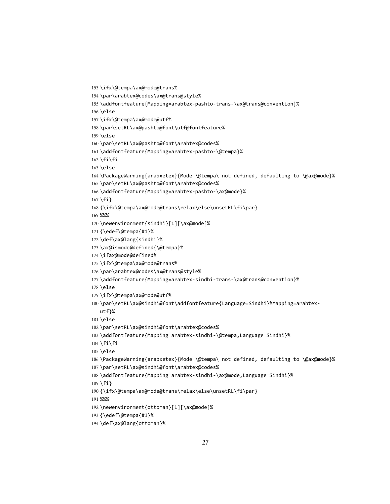```
157 \ifx\@tempa\ax@mode@utf%
158 \par\setRL\ax@pashto@font\utf@fontfeature%
159 \else
160 \par\setRL\ax@pashto@font\arabtex@codes%
161 \addfontfeature{Mapping=arabtex-pashto-\@tempa}%
162 \left\{ \right\}163 \else
164 \PackageWarning{arabxetex}{Mode \@tempa\ not defined, defaulting to \@ax@mode}%
165 \par\setRL\ax@pashto@font\arabtex@codes%
166 \addfontfeature{Mapping=arabtex-pashto-\ax@mode}%
167 \fi}
168 {\ifx\@tempa\ax@mode@trans\relax\else\unsetRL\fi\par}
169 %%%
170 \newenvironment{sindhi}[1][\ax@mode]%
171 {\edef\@tempa{#1}%
172 \def\ax@lang{sindhi}%
173 \ax@ismode@defined{\@tempa}%
174 \ifax@mode@defined%
175 \ifx\@tempa\ax@mode@trans%
176 \par\arabtex@codes\ax@trans@style%
177 \addfontfeature{Mapping=arabtex-sindhi-trans-\ax@trans@convention}%
178 \else
179 \ifx\@tempa\ax@mode@utf%
180 \par\setRL\ax@sindhi@font\addfontfeature{Language=Sindhi}%Mapping=arabtex-
   utf}%
181 \else
182 \par\setRL\ax@sindhi@font\arabtex@codes%
183 \addfontfeature{Mapping=arabtex-sindhi-\@tempa,Language=Sindhi}%
184 \backslash \text{fi}\backslash \text{fi}185 \else
186 \PackageWarning{arabxetex}{Mode \@tempa\ not defined, defaulting to \@ax@mode}%
187 \par\setRL\ax@sindhi@font\arabtex@codes%
188 \addfontfeature{Mapping=arabtex-sindhi-\ax@mode,Language=Sindhi}%
189 \fi}
190 {\ifx\@tempa\ax@mode@trans\relax\else\unsetRL\fi\par}
191 %%%
192 \newenvironment{ottoman}[1][\ax@mode]%
193 {\edef\@tempa{#1}%
```
\addfontfeature{Mapping=arabtex-pashto-trans-\ax@trans@convention}%

```
194 \def\ax@lang{ottoman}%
```
\ifx\@tempa\ax@mode@trans%

\else

\par\arabtex@codes\ax@trans@style%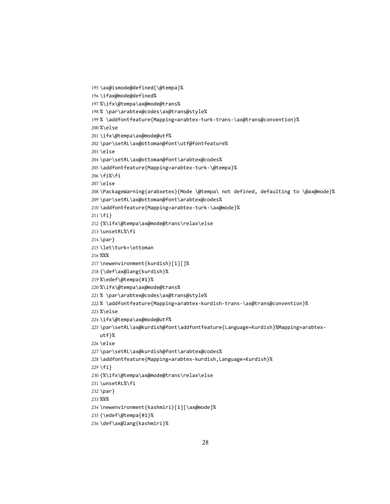```
195 \ax@ismode@defined{\@tempa}%
196 \ifax@mode@defined%
197 %\ifx\@tempa\ax@mode@trans%
198 % \par\arabtex@codes\ax@trans@style%
199 % \addfontfeature{Mapping=arabtex-turk-trans-\ax@trans@convention}%
200 %\else
201 \ifx\@tempa\ax@mode@utf%
202 \par\setRL\ax@ottoman@font\utf@fontfeature%
203 \else
204 \par\setRL\ax@ottoman@font\arabtex@codes%
205 \addfontfeature{Mapping=arabtex-turk-\@tempa}%
206 \fi%\fi
207 \else
208 \PackageWarning{arabxetex}{Mode \@tempa\ not defined, defaulting to \@ax@mode}%
209 \par\setRL\ax@ottoman@font\arabtex@codes%
210 \addfontfeature{Mapping=arabtex-turk-\ax@mode}%
211 \fi}
212 {%\ifx\@tempa\ax@mode@trans\relax\else
213 \unsetRL%\fi
214 \par}
215 \let\turk=\ottoman
216 %%%
217 \newenvironment{kurdish}[1][]%
218 {\def\ax@lang{kurdish}%
219 %\edef\@tempa{#1}%
220 %\ifx\@tempa\ax@mode@trans%
221 % \par\arabtex@codes\ax@trans@style%
222 % \addfontfeature{Mapping=arabtex-kurdish-trans-\ax@trans@convention}%
223 %\else
224 \ifx\@tempa\ax@mode@utf%
225 \par\setRL\ax@kurdish@font\addfontfeature{Language=Kurdish}%Mapping=arabtex-
   utf}%
226 \else
227 \par\setRL\ax@kurdish@font\arabtex@codes%
228 \addfontfeature{Mapping=arabtex-kurdish,Language=Kurdish}%
229 \{fi\}230 {%\ifx\@tempa\ax@mode@trans\relax\else
231 \unsetRL%\fi
232 \par}
233 %%%
234 \newenvironment{kashmiri}[1][\ax@mode]%
235 {\edef\@tempa{#1}%
```

```
236 \def\ax@lang{kashmiri}%
```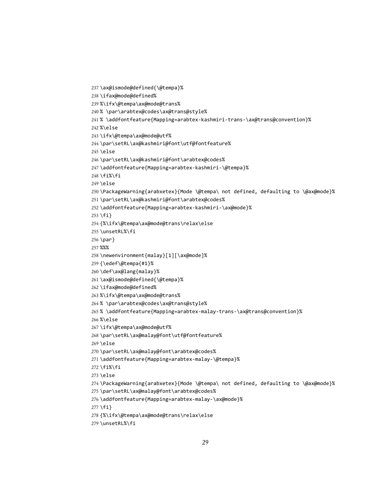```
240 % \par\arabtex@codes\ax@trans@style%
241 % \addfontfeature{Mapping=arabtex-kashmiri-trans-\ax@trans@convention}%
242 %\else
243 \ifx\@tempa\ax@mode@utf%
244 \par\setRL\ax@kashmiri@font\utf@fontfeature%
245 \else
246 \par\setRL\ax@kashmiri@font\arabtex@codes%
247 \addfontfeature{Mapping=arabtex-kashmiri-\@tempa}%
248 \fi%\fi
249 \else
250 \PackageWarning{arabxetex}{Mode \@tempa\ not defined, defaulting to \@ax@mode}%
251 \par\setRL\ax@kashmiri@font\arabtex@codes%
252 \addfontfeature{Mapping=arabtex-kashmiri-\ax@mode}%
253 \fi}
254 {%\ifx\@tempa\ax@mode@trans\relax\else
255 \unsetRL%\fi
256 \par}
257 %%%
258 \newenvironment{malay}[1][\ax@mode]%
259 {\edef\@tempa{#1}%
260 \def\ax@lang{malay}%
261 \ax@ismode@defined{\@tempa}%
262 \ifax@mode@defined%
263 %\ifx\@tempa\ax@mode@trans%
264 % \par\arabtex@codes\ax@trans@style%
265 % \addfontfeature{Mapping=arabtex-malay-trans-\ax@trans@convention}%
266 %\else
267\ifx\@tempa\ax@mode@utf%
268 \par\setRL\ax@malay@font\utf@fontfeature%
269 \else
270 \par\setRL\ax@malay@font\arabtex@codes%
271 \addfontfeature{Mapping=arabtex-malay-\@tempa}%
272 \fi%\fi
273 \else
274 \PackageWarning{arabxetex}{Mode \@tempa\ not defined, defaulting to \@ax@mode}%
275 \par\setRL\ax@malay@font\arabtex@codes%
276 \addfontfeature{Mapping=arabtex-malay-\ax@mode}%
277 \setminus fi278 {%\ifx\@tempa\ax@mode@trans\relax\else
279 \unsetRL%\fi
```
\ax@ismode@defined{\@tempa}%

%\ifx\@tempa\ax@mode@trans%

\ifax@mode@defined%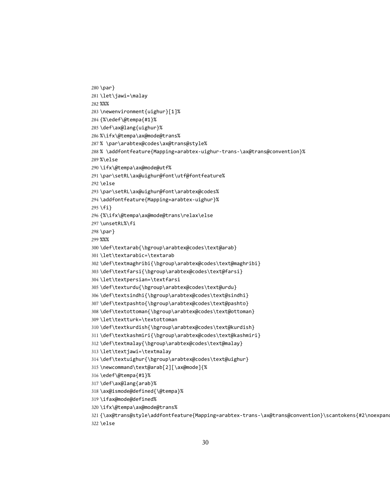```
282 %%%
283 \newenvironment{uighur}[1]%
284 {%\edef\@tempa{#1}%
285 \def\ax@lang{uighur}%
286 %\ifx\@tempa\ax@mode@trans%
287 % \par\arabtex@codes\ax@trans@style%
288 % \addfontfeature{Mapping=arabtex-uighur-trans-\ax@trans@convention}%
289 %\else
290 \ifx\@tempa\ax@mode@utf%
291 \par\setRL\ax@uighur@font\utf@fontfeature%
292 \else
293 \par\setRL\ax@uighur@font\arabtex@codes%
294 \addfontfeature{Mapping=arabtex-uighur}%
295 \fi}
296 {%\ifx\@tempa\ax@mode@trans\relax\else
297 \unsetRL%\fi
298 \par}
299 %%%
300 \def\textarab{\bgroup\arabtex@codes\text@arab}
301 \let\textarabic=\textarab
302 \def\textmaghribi{\bgroup\arabtex@codes\text@maghribi}
303 \def\textfarsi{\bgroup\arabtex@codes\text@farsi}
304 \let\textpersian=\textfarsi
305 \def\texturdu{\bgroup\arabtex@codes\text@urdu}
306 \def\textsindhi{\bgroup\arabtex@codes\text@sindhi}
307 \def\textpashto{\bgroup\arabtex@codes\text@pashto}
308 \def\textottoman{\bgroup\arabtex@codes\text@ottoman}
309 \let\textturk=\textottoman
310 \def\textkurdish{\bgroup\arabtex@codes\text@kurdish}
311 \def\textkashmiri{\bgroup\arabtex@codes\text@kashmiri}
312 \def\textmalay{\bgroup\arabtex@codes\text@malay}
313 \let\textjawi=\textmalay
314 \def\textuighur{\bgroup\arabtex@codes\text@uighur}
315 \newcommand\text@arab[2][\ax@mode]{%
316 \edef\@tempa{#1}%
317 \def\ax@lang{arab}%
318 \ax@ismode@defined{\@tempa}%
319 \ifax@mode@defined%
```
\par}

\let\jawi=\malay

\ifx\@tempa\ax@mode@trans%

\else

```
30
```
321 {\ax@trans@style\addfontfeature{Mapping=arabtex-trans-\ax@trans@convention}\scantokens{#2\noexpand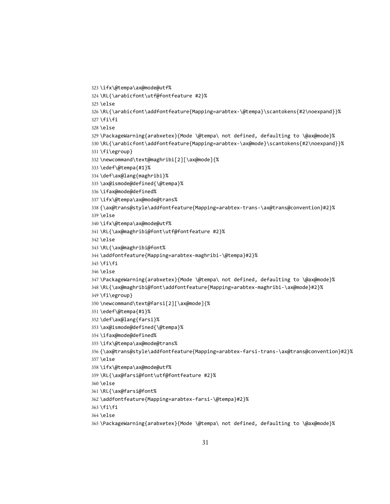\ifx\@tempa\ax@mode@utf% \RL{\arabicfont\utf@fontfeature #2}% \else \RL{\arabicfont\addfontfeature{Mapping=arabtex-\@tempa}\scantokens{#2\noexpand}}% \fi\fi \else \PackageWarning{arabxetex}{Mode \@tempa\ not defined, defaulting to \@ax@mode}% \RL{\arabicfont\addfontfeature{Mapping=arabtex-\ax@mode}\scantokens{#2\noexpand}}% \fi\egroup} \newcommand\text@maghribi[2][\ax@mode]{% \edef\@tempa{#1}% \def\ax@lang{maghribi}% \ax@ismode@defined{\@tempa}% \ifax@mode@defined% \ifx\@tempa\ax@mode@trans% {\ax@trans@style\addfontfeature{Mapping=arabtex-trans-\ax@trans@convention}#2}% \else \ifx\@tempa\ax@mode@utf% \RL{\ax@maghribi@font\utf@fontfeature #2}% \else \RL{\ax@maghribi@font% \addfontfeature{Mapping=arabtex-maghribi-\@tempa}#2}% \fi\fi \else \PackageWarning{arabxetex}{Mode \@tempa\ not defined, defaulting to \@ax@mode}% \RL{\ax@maghribi@font\addfontfeature{Mapping=arabtex-maghribi-\ax@mode}#2}% \fi\egroup} \newcommand\text@farsi[2][\ax@mode]{% \edef\@tempa{#1}% \def\ax@lang{farsi}% \ax@ismode@defined{\@tempa}% \ifax@mode@defined% \ifx\@tempa\ax@mode@trans% {\ax@trans@style\addfontfeature{Mapping=arabtex-farsi-trans-\ax@trans@convention}#2}% \else \ifx\@tempa\ax@mode@utf% \RL{\ax@farsi@font\utf@fontfeature #2}% \else \RL{\ax@farsi@font% \addfontfeature{Mapping=arabtex-farsi-\@tempa}#2}% \fi\fi \else \PackageWarning{arabxetex}{Mode \@tempa\ not defined, defaulting to \@ax@mode}%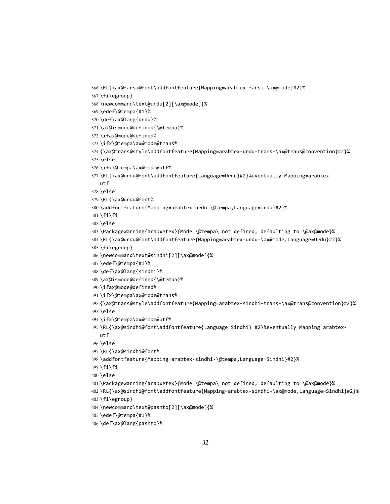```
utf
378 \else
379 \RL{\ax@urdu@font%
380 \addfontfeature{Mapping=arabtex-urdu-\@tempa,Language=Urdu}#2}%
381 \fi\fi
382 \else
383 \PackageWarning{arabxetex}{Mode \@tempa\ not defined, defaulting to \@ax@mode}%
384 \RL{\ax@urdu@font\addfontfeature{Mapping=arabtex-urdu-\ax@mode,Language=Urdu}#2}%
385 \fi\egroup}
386 \newcommand\text@sindhi[2][\ax@mode]{%
387 \edef\@tempa{#1}%
388 \def\ax@lang{sindhi}%
389 \ax@ismode@defined{\@tempa}%
390 \ifax@mode@defined%
391 \ifx\@tempa\ax@mode@trans%
392 {\ax@trans@style\addfontfeature{Mapping=arabtex-sindhi-trans-\ax@trans@convention}#2}%
393 \else
394 \ifx\@tempa\ax@mode@utf%
395 \RL{\ax@sindhi@font\addfontfeature{Language=Sindhi} #2}%eventually Mapping=arabtex-
   utf
396 \else
397 \RL{\ax@sindhi@font%
398 \addfontfeature{Mapping=arabtex-sindhi-\@tempa,Language=Sindhi}#2}%
399 \fi\fi
400 \else
401 \PackageWarning{arabxetex}{Mode \@tempa\ not defined, defaulting to \@ax@mode}%
402 \RL{\ax@sindhi@font\addfontfeature{Mapping=arabtex-sindhi-\ax@mode,Language=Sindhi}#2}%
```
{\ax@trans@style\addfontfeature{Mapping=arabtex-urdu-trans-\ax@trans@convention}#2}%

\RL{\ax@urdu@font\addfontfeature{Language=Urdu}#2}%eventually Mapping=arabtex-

```
371 \ax@ismode@defined{\@tempa}%
372 \ifax@mode@defined%
```
\ifx\@tempa\ax@mode@trans%

\ifx\@tempa\ax@mode@utf%

- 
- \def\ax@lang{urdu}%
- 
- 
- 
- 
- 
- 
- 
- \edef\@tempa{#1}%
- \newcommand\text@urdu[2][\ax@mode]{%
- 

\else

\fi\egroup}

 \edef\@tempa{#1}% \def\ax@lang{pashto}%

\newcommand\text@pashto[2][\ax@mode]{%

 \RL{\ax@farsi@font\addfontfeature{Mapping=arabtex-farsi-\ax@mode}#2}% \fi\egroup}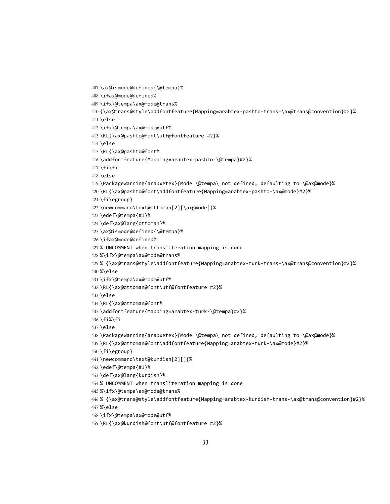\ifax@mode@defined% \ifx\@tempa\ax@mode@trans% {\ax@trans@style\addfontfeature{Mapping=arabtex-pashto-trans-\ax@trans@convention}#2}% \else \ifx\@tempa\ax@mode@utf% \RL{\ax@pashto@font\utf@fontfeature #2}% \else \RL{\ax@pashto@font% \addfontfeature{Mapping=arabtex-pashto-\@tempa}#2}%  $417 \text{fi}\$  \else \PackageWarning{arabxetex}{Mode \@tempa\ not defined, defaulting to \@ax@mode}% \RL{\ax@pashto@font\addfontfeature{Mapping=arabtex-pashto-\ax@mode}#2}% \fi\egroup} \newcommand\text@ottoman[2][\ax@mode]{% \edef\@tempa{#1}% \def\ax@lang{ottoman}% \ax@ismode@defined{\@tempa}% \ifax@mode@defined% % UNCOMMENT when transliteration mapping is done %\ifx\@tempa\ax@mode@trans% % {\ax@trans@style\addfontfeature{Mapping=arabtex-turk-trans-\ax@trans@convention}#2}% %\else \ifx\@tempa\ax@mode@utf% \RL{\ax@ottoman@font\utf@fontfeature #2}% \else \RL{\ax@ottoman@font% \addfontfeature{Mapping=arabtex-turk-\@tempa}#2}% \fi%\fi \else \PackageWarning{arabxetex}{Mode \@tempa\ not defined, defaulting to \@ax@mode}% \RL{\ax@ottoman@font\addfontfeature{Mapping=arabtex-turk-\ax@mode}#2}% \fi\egroup} \newcommand\text@kurdish[2][]{% \edef\@tempa{#1}% \def\ax@lang{kurdish}% % UNCOMMENT when transliteration mapping is done %\ifx\@tempa\ax@mode@trans% % {\ax@trans@style\addfontfeature{Mapping=arabtex-kurdish-trans-\ax@trans@convention}#2}% %\else \ifx\@tempa\ax@mode@utf%

```
449 \RL{\ax@kurdish@font\utf@fontfeature #2}%
```
\ax@ismode@defined{\@tempa}%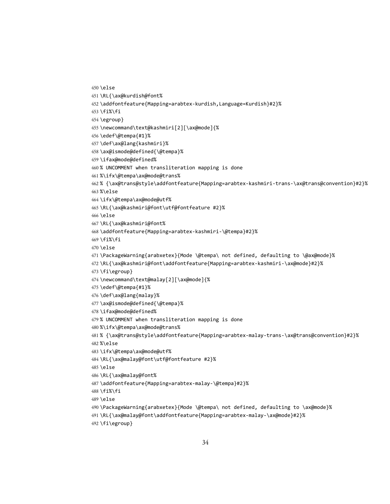```
450 \else
451 \RL{\ax@kurdish@font%
452 \addfontfeature{Mapping=arabtex-kurdish,Language=Kurdish}#2}%
453 \fi%\fi
454 \egroup}
455 \newcommand\text@kashmiri[2][\ax@mode]{%
456 \edef\@tempa{#1}%
457 \def\ax@lang{kashmiri}%
458 \ax@ismode@defined{\@tempa}%
459 \ifax@mode@defined%
460 % UNCOMMENT when transliteration mapping is done
461 %\ifx\@tempa\ax@mode@trans%
462 % {\ax@trans@style\addfontfeature{Mapping=arabtex-kashmiri-trans-\ax@trans@convention}#2}%
463 %\else
464 \ifx\@tempa\ax@mode@utf%
465 \RL{\ax@kashmiri@font\utf@fontfeature #2}%
466 \else
467 \RL{\ax@kashmiri@font%
468 \addfontfeature{Mapping=arabtex-kashmiri-\@tempa}#2}%
469 \text{fi}\%470 \else
471 \PackageWarning{arabxetex}{Mode \@tempa\ not defined, defaulting to \@ax@mode}%
472 \RL{\ax@kashmiri@font\addfontfeature{Mapping=arabtex-kashmiri-\ax@mode}#2}%
473 \fi\egroup}
474 \newcommand\text@malay[2][\ax@mode]{%
475 \edef\@tempa{#1}%
476 \def\ax@lang{malay}%
477 \ax@ismode@defined{\@tempa}%
478 \ifax@mode@defined%
479 % UNCOMMENT when transliteration mapping is done
480 %\ifx\@tempa\ax@mode@trans%
481 % {\ax@trans@style\addfontfeature{Mapping=arabtex-malay-trans-\ax@trans@convention}#2}%
482 %\else
483 \ifx\@tempa\ax@mode@utf%
484 \RL{\ax@malay@font\utf@fontfeature #2}%
485 \else
486 \RL{\ax@malay@font%
487 \addfontfeature{Mapping=arabtex-malay-\@tempa}#2}%
488 \fi%\fi
489 \else
490 \PackageWarning{arabxetex}{Mode \@tempa\ not defined, defaulting to \ax@mode}%
491 \RL{\ax@malay@font\addfontfeature{Mapping=arabtex-malay-\ax@mode}#2}%
```

```
492 \fi\egroup}
```